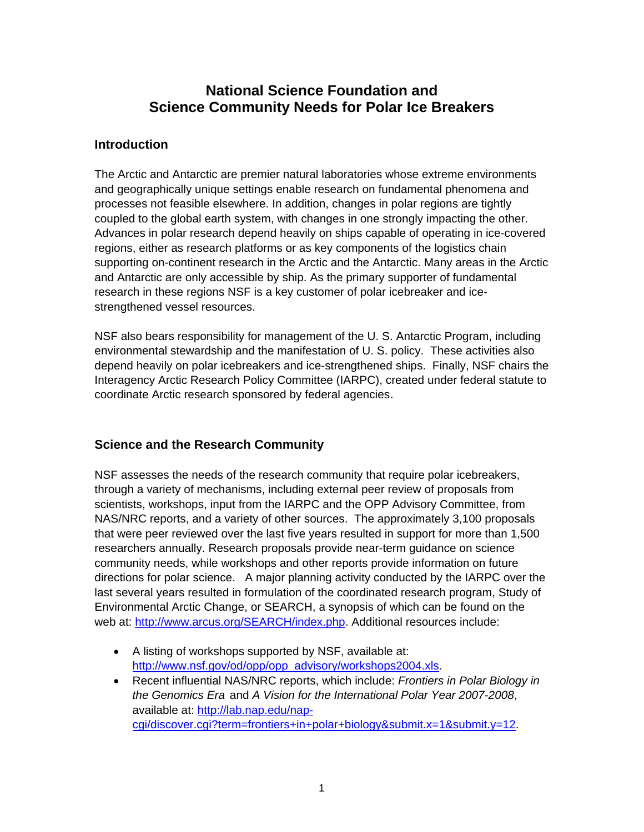# **National Science Foundation and Science Community Needs for Polar Ice Breakers**

## **Introduction**

The Arctic and Antarctic are premier natural laboratories whose extreme environments and geographically unique settings enable research on fundamental phenomena and processes not feasible elsewhere. In addition, changes in polar regions are tightly coupled to the global earth system, with changes in one strongly impacting the other. Advances in polar research depend heavily on ships capable of operating in ice-covered regions, either as research platforms or as key components of the logistics chain supporting on-continent research in the Arctic and the Antarctic. Many areas in the Arctic and Antarctic are only accessible by ship. As the primary supporter of fundamental research in these regions NSF is a key customer of polar icebreaker and icestrengthened vessel resources.

NSF also bears responsibility for management of the U. S. Antarctic Program, including environmental stewardship and the manifestation of U. S. policy. These activities also depend heavily on polar icebreakers and ice-strengthened ships. Finally, NSF chairs the Interagency Arctic Research Policy Committee (IARPC), created under federal statute to coordinate Arctic research sponsored by federal agencies.

## **Science and the Research Community**

NSF assesses the needs of the research community that require polar icebreakers, through a variety of mechanisms, including external peer review of proposals from scientists, workshops, input from the IARPC and the OPP Advisory Committee, from NAS/NRC reports, and a variety of other sources. The approximately 3,100 proposals that were peer reviewed over the last five years resulted in support for more than 1,500 researchers annually. Research proposals provide near-term guidance on science community needs, while workshops and other reports provide information on future directions for polar science. A major planning activity conducted by the IARPC over the last several years resulted in formulation of the coordinated research program, Study of Environmental Arctic Change, or SEARCH, a synopsis of which can be found on the web at: <http://www.arcus.org/SEARCH/index.php>. Additional resources include:

- A listing of workshops supported by NSF, available at: [http://www.nsf.gov/od/opp/opp\\_advisory/workshops2004.xls.](http://www.nsf.gov/od/opp/opp_advisory/reports.jsp)
- Recent influential NAS/NRC reports, which include: *Frontiers in Polar Biology in the Genomics Era* and *A Vision for the International Polar Year 2007-2008*, available at: [http://lab.nap.edu/nap](http://lab.nap.edu/nap-cgi/discover.cgi?term=frontiers+in+polar+biology&submit.x=1&submit.y=12)[cgi/discover.cgi?term=frontiers+in+polar+biology&submit.x=1&submit.y=12](http://lab.nap.edu/nap-cgi/discover.cgi?term=frontiers+in+polar+biology&submit.x=1&submit.y=12).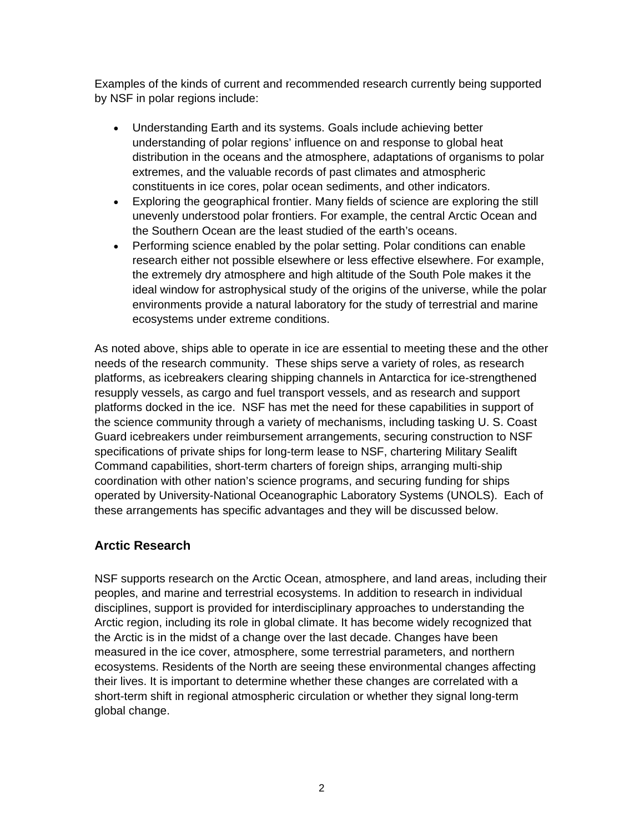Examples of the kinds of current and recommended research currently being supported by NSF in polar regions include:

- Understanding Earth and its systems. Goals include achieving better understanding of polar regions' influence on and response to global heat distribution in the oceans and the atmosphere, adaptations of organisms to polar extremes, and the valuable records of past climates and atmospheric constituents in ice cores, polar ocean sediments, and other indicators.
- Exploring the geographical frontier. Many fields of science are exploring the still unevenly understood polar frontiers. For example, the central Arctic Ocean and the Southern Ocean are the least studied of the earth's oceans.
- Performing science enabled by the polar setting. Polar conditions can enable research either not possible elsewhere or less effective elsewhere. For example, the extremely dry atmosphere and high altitude of the South Pole makes it the ideal window for astrophysical study of the origins of the universe, while the polar environments provide a natural laboratory for the study of terrestrial and marine ecosystems under extreme conditions.

As noted above, ships able to operate in ice are essential to meeting these and the other needs of the research community. These ships serve a variety of roles, as research platforms, as icebreakers clearing shipping channels in Antarctica for ice-strengthened resupply vessels, as cargo and fuel transport vessels, and as research and support platforms docked in the ice. NSF has met the need for these capabilities in support of the science community through a variety of mechanisms, including tasking U. S. Coast Guard icebreakers under reimbursement arrangements, securing construction to NSF specifications of private ships for long-term lease to NSF, chartering Military Sealift Command capabilities, short-term charters of foreign ships, arranging multi-ship coordination with other nation's science programs, and securing funding for ships operated by University-National Oceanographic Laboratory Systems (UNOLS). Each of these arrangements has specific advantages and they will be discussed below.

## **Arctic Research**

NSF supports research on the Arctic Ocean, atmosphere, and land areas, including their peoples, and marine and terrestrial ecosystems. In addition to research in individual disciplines, support is provided for interdisciplinary approaches to understanding the Arctic region, including its role in global climate. It has become widely recognized that the Arctic is in the midst of a change over the last decade. Changes have been measured in the ice cover, atmosphere, some terrestrial parameters, and northern ecosystems. Residents of the North are seeing these environmental changes affecting their lives. It is important to determine whether these changes are correlated with a short-term shift in regional atmospheric circulation or whether they signal long-term global change.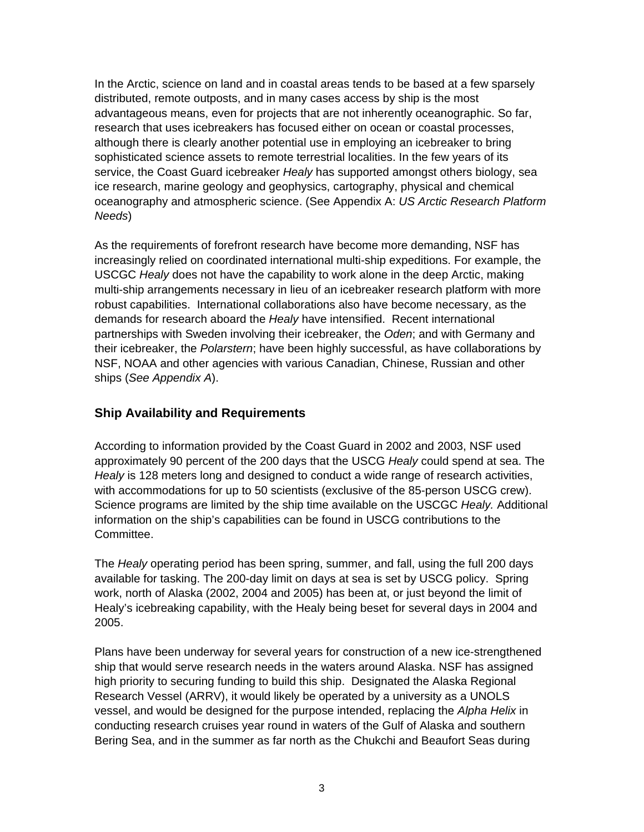In the Arctic, science on land and in coastal areas tends to be based at a few sparsely distributed, remote outposts, and in many cases access by ship is the most advantageous means, even for projects that are not inherently oceanographic. So far, research that uses icebreakers has focused either on ocean or coastal processes, although there is clearly another potential use in employing an icebreaker to bring sophisticated science assets to remote terrestrial localities. In the few years of its service, the Coast Guard icebreaker *Healy* has supported amongst others biology, sea ice research, marine geology and geophysics, cartography, physical and chemical oceanography and atmospheric science. (See Appendix A: *US Arctic Research Platform Needs*)

As the requirements of forefront research have become more demanding, NSF has increasingly relied on coordinated international multi-ship expeditions. For example, the USCGC *Healy* does not have the capability to work alone in the deep Arctic, making multi-ship arrangements necessary in lieu of an icebreaker research platform with more robust capabilities. International collaborations also have become necessary, as the demands for research aboard the *Healy* have intensified. Recent international partnerships with Sweden involving their icebreaker, the *Oden*; and with Germany and their icebreaker, the *Polarstern*; have been highly successful, as have collaborations by NSF, NOAA and other agencies with various Canadian, Chinese, Russian and other ships (*See Appendix A*).

## **Ship Availability and Requirements**

According to information provided by the Coast Guard in 2002 and 2003, NSF used approximately 90 percent of the 200 days that the USCG *Healy* could spend at sea. The *Healy* is 128 meters long and designed to conduct a wide range of research activities, with accommodations for up to 50 scientists (exclusive of the 85-person USCG crew). Science programs are limited by the ship time available on the USCGC *Healy.* Additional information on the ship's capabilities can be found in USCG contributions to the Committee.

The *Healy* operating period has been spring, summer, and fall, using the full 200 days available for tasking. The 200-day limit on days at sea is set by USCG policy. Spring work, north of Alaska (2002, 2004 and 2005) has been at, or just beyond the limit of Healy's icebreaking capability, with the Healy being beset for several days in 2004 and 2005.

Plans have been underway for several years for construction of a new ice-strengthened ship that would serve research needs in the waters around Alaska. NSF has assigned high priority to securing funding to build this ship. Designated the Alaska Regional Research Vessel (ARRV), it would likely be operated by a university as a UNOLS vessel, and would be designed for the purpose intended, replacing the *Alpha Helix* in conducting research cruises year round in waters of the Gulf of Alaska and southern Bering Sea, and in the summer as far north as the Chukchi and Beaufort Seas during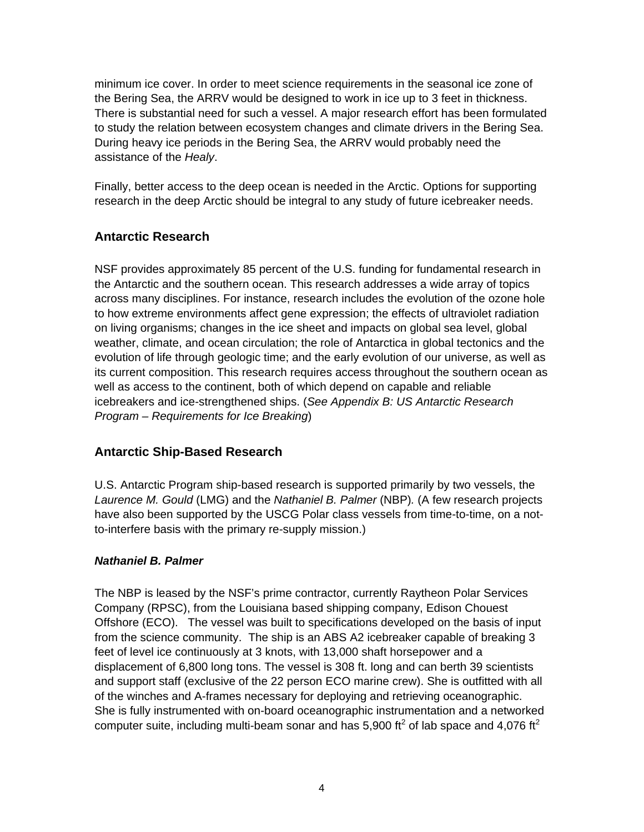minimum ice cover. In order to meet science requirements in the seasonal ice zone of the Bering Sea, the ARRV would be designed to work in ice up to 3 feet in thickness. There is substantial need for such a vessel. A major research effort has been formulated to study the relation between ecosystem changes and climate drivers in the Bering Sea. During heavy ice periods in the Bering Sea, the ARRV would probably need the assistance of the *Healy*.

Finally, better access to the deep ocean is needed in the Arctic. Options for supporting research in the deep Arctic should be integral to any study of future icebreaker needs.

# **Antarctic Research**

NSF provides approximately 85 percent of the U.S. funding for fundamental research in the Antarctic and the southern ocean. This research addresses a wide array of topics across many disciplines. For instance, research includes the evolution of the ozone hole to how extreme environments affect gene expression; the effects of ultraviolet radiation on living organisms; changes in the ice sheet and impacts on global sea level, global weather, climate, and ocean circulation; the role of Antarctica in global tectonics and the evolution of life through geologic time; and the early evolution of our universe, as well as its current composition. This research requires access throughout the southern ocean as well as access to the continent, both of which depend on capable and reliable icebreakers and ice-strengthened ships. (*See Appendix B: US Antarctic Research Program – Requirements for Ice Breaking*)

## **Antarctic Ship-Based Research**

U.S. Antarctic Program ship-based research is supported primarily by two vessels, the *Laurence M. Gould* (LMG) and the *Nathaniel B. Palmer* (NBP)*.* (A few research projects have also been supported by the USCG Polar class vessels from time-to-time, on a notto-interfere basis with the primary re-supply mission.)

## *Nathaniel B. Palmer*

The NBP is leased by the NSF's prime contractor, currently Raytheon Polar Services Company (RPSC), from the Louisiana based shipping company, Edison Chouest Offshore (ECO). The vessel was built to specifications developed on the basis of input from the science community. The ship is an ABS A2 icebreaker capable of breaking 3 feet of level ice continuously at 3 knots, with 13,000 shaft horsepower and a displacement of 6,800 long tons. The vessel is 308 ft. long and can berth 39 scientists and support staff (exclusive of the 22 person ECO marine crew). She is outfitted with all of the winches and A-frames necessary for deploying and retrieving oceanographic. She is fully instrumented with on-board oceanographic instrumentation and a networked computer suite, including multi-beam sonar and has 5,900 ft<sup>2</sup> of lab space and 4,076 ft<sup>2</sup>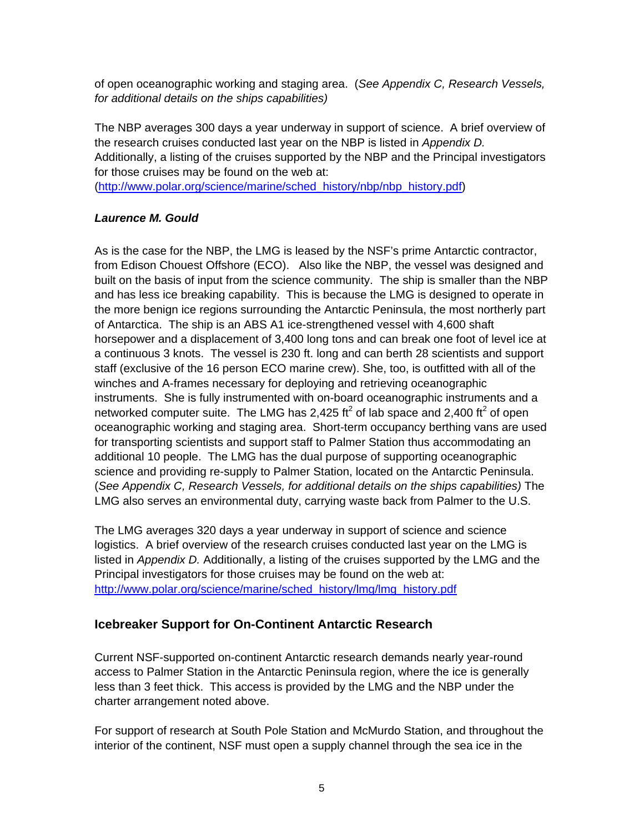of open oceanographic working and staging area. (*See Appendix C, Research Vessels, for additional details on the ships capabilities)*

The NBP averages 300 days a year underway in support of science. A brief overview of the research cruises conducted last year on the NBP is listed in *Appendix D.* Additionally, a listing of the cruises supported by the NBP and the Principal investigators for those cruises may be found on the web at:

([http://www.polar.org/science/marine/sched\\_history/nbp/nbp\\_history.pdf](http://www.polar.org/science/marine/sched_history/nbp/nbp_history.pdf))

## *Laurence M. Gould*

As is the case for the NBP, the LMG is leased by the NSF's prime Antarctic contractor, from Edison Chouest Offshore (ECO). Also like the NBP, the vessel was designed and built on the basis of input from the science community. The ship is smaller than the NBP and has less ice breaking capability. This is because the LMG is designed to operate in the more benign ice regions surrounding the Antarctic Peninsula, the most northerly part of Antarctica. The ship is an ABS A1 ice-strengthened vessel with 4,600 shaft horsepower and a displacement of 3,400 long tons and can break one foot of level ice at a continuous 3 knots. The vessel is 230 ft. long and can berth 28 scientists and support staff (exclusive of the 16 person ECO marine crew). She, too, is outfitted with all of the winches and A-frames necessary for deploying and retrieving oceanographic instruments. She is fully instrumented with on-board oceanographic instruments and a networked computer suite. The LMG has 2,425 ft<sup>2</sup> of lab space and 2,400 ft<sup>2</sup> of open oceanographic working and staging area. Short-term occupancy berthing vans are used for transporting scientists and support staff to Palmer Station thus accommodating an additional 10 people. The LMG has the dual purpose of supporting oceanographic science and providing re-supply to Palmer Station, located on the Antarctic Peninsula. (*See Appendix C, Research Vessels, for additional details on the ships capabilities)* The LMG also serves an environmental duty, carrying waste back from Palmer to the U.S.

The LMG averages 320 days a year underway in support of science and science logistics. A brief overview of the research cruises conducted last year on the LMG is listed in *Appendix D.* Additionally, a listing of the cruises supported by the LMG and the Principal investigators for those cruises may be found on the web at: [http://www.polar.org/science/marine/sched\\_history/lmg/lmg\\_history.pdf](http://www.polar.org/science/marine/sched_history/lmg/lmg_history.pdf)

## **Icebreaker Support for On-Continent Antarctic Research**

Current NSF-supported on-continent Antarctic research demands nearly year-round access to Palmer Station in the Antarctic Peninsula region, where the ice is generally less than 3 feet thick. This access is provided by the LMG and the NBP under the charter arrangement noted above.

For support of research at South Pole Station and McMurdo Station, and throughout the interior of the continent, NSF must open a supply channel through the sea ice in the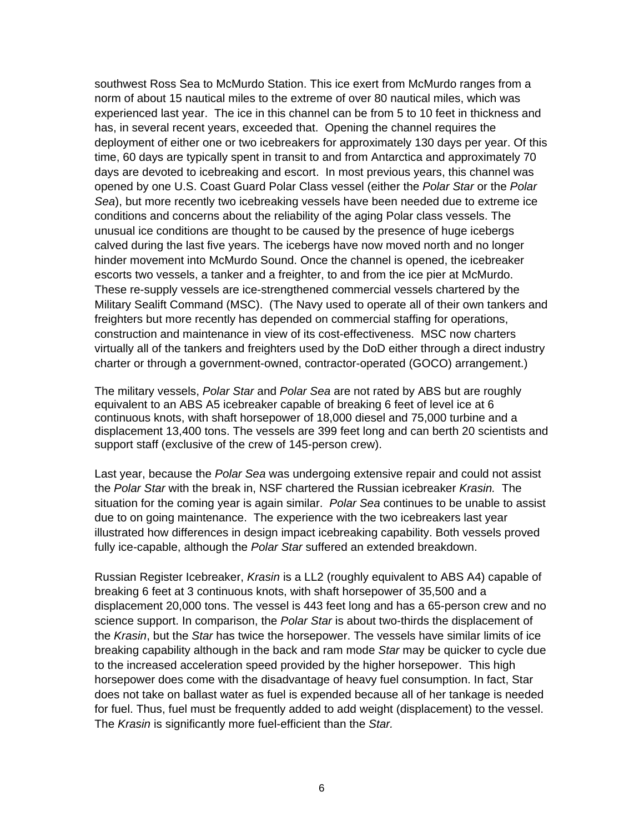southwest Ross Sea to McMurdo Station. This ice exert from McMurdo ranges from a norm of about 15 nautical miles to the extreme of over 80 nautical miles, which was experienced last year. The ice in this channel can be from 5 to 10 feet in thickness and has, in several recent years, exceeded that. Opening the channel requires the deployment of either one or two icebreakers for approximately 130 days per year. Of this time, 60 days are typically spent in transit to and from Antarctica and approximately 70 days are devoted to icebreaking and escort. In most previous years, this channel was opened by one U.S. Coast Guard Polar Class vessel (either the *Polar Star* or the *Polar Sea*), but more recently two icebreaking vessels have been needed due to extreme ice conditions and concerns about the reliability of the aging Polar class vessels. The unusual ice conditions are thought to be caused by the presence of huge icebergs calved during the last five years. The icebergs have now moved north and no longer hinder movement into McMurdo Sound. Once the channel is opened, the icebreaker escorts two vessels, a tanker and a freighter, to and from the ice pier at McMurdo. These re-supply vessels are ice-strengthened commercial vessels chartered by the Military Sealift Command (MSC). (The Navy used to operate all of their own tankers and freighters but more recently has depended on commercial staffing for operations, construction and maintenance in view of its cost-effectiveness. MSC now charters virtually all of the tankers and freighters used by the DoD either through a direct industry charter or through a government-owned, contractor-operated (GOCO) arrangement.)

The military vessels, *Polar Star* and *Polar Sea* are not rated by ABS but are roughly equivalent to an ABS A5 icebreaker capable of breaking 6 feet of level ice at 6 continuous knots, with shaft horsepower of 18,000 diesel and 75,000 turbine and a displacement 13,400 tons. The vessels are 399 feet long and can berth 20 scientists and support staff (exclusive of the crew of 145-person crew).

Last year, because the *Polar Sea* was undergoing extensive repair and could not assist the *Polar Star* with the break in, NSF chartered the Russian icebreaker *Krasin.* The situation for the coming year is again similar. *Polar Sea* continues to be unable to assist due to on going maintenance. The experience with the two icebreakers last year illustrated how differences in design impact icebreaking capability. Both vessels proved fully ice-capable, although the *Polar Star* suffered an extended breakdown.

Russian Register Icebreaker, *Krasin* is a LL2 (roughly equivalent to ABS A4) capable of breaking 6 feet at 3 continuous knots, with shaft horsepower of 35,500 and a displacement 20,000 tons. The vessel is 443 feet long and has a 65-person crew and no science support. In comparison, the *Polar Star* is about two-thirds the displacement of the *Krasin*, but the *Star* has twice the horsepower. The vessels have similar limits of ice breaking capability although in the back and ram mode *Star* may be quicker to cycle due to the increased acceleration speed provided by the higher horsepower. This high horsepower does come with the disadvantage of heavy fuel consumption. In fact, Star does not take on ballast water as fuel is expended because all of her tankage is needed for fuel. Thus, fuel must be frequently added to add weight (displacement) to the vessel. The *Krasin* is significantly more fuel-efficient than the *Star.*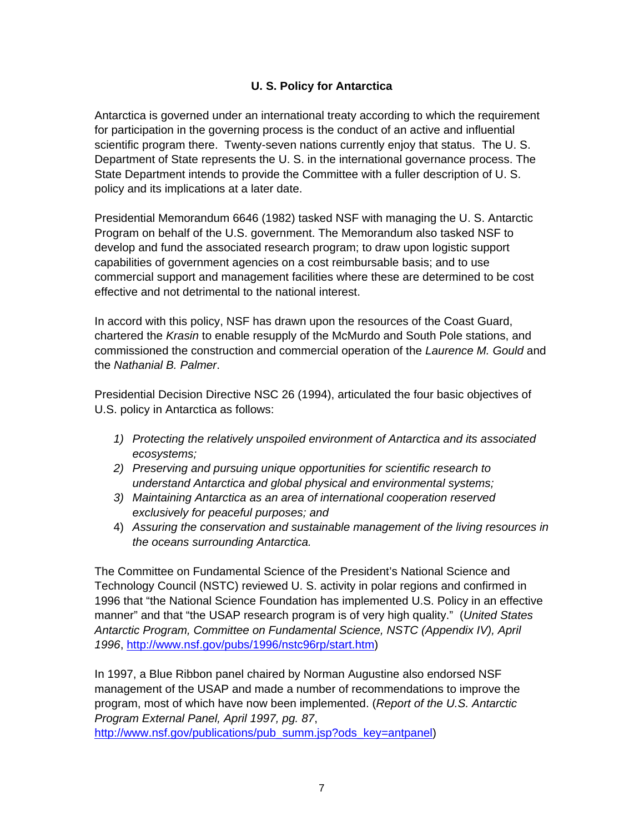## **U. S. Policy for Antarctica**

Antarctica is governed under an international treaty according to which the requirement for participation in the governing process is the conduct of an active and influential scientific program there. Twenty-seven nations currently enjoy that status. The U. S. Department of State represents the U. S. in the international governance process. The State Department intends to provide the Committee with a fuller description of U. S. policy and its implications at a later date.

Presidential Memorandum 6646 (1982) tasked NSF with managing the U. S. Antarctic Program on behalf of the U.S. government. The Memorandum also tasked NSF to develop and fund the associated research program; to draw upon logistic support capabilities of government agencies on a cost reimbursable basis; and to use commercial support and management facilities where these are determined to be cost effective and not detrimental to the national interest.

In accord with this policy, NSF has drawn upon the resources of the Coast Guard, chartered the *Krasin* to enable resupply of the McMurdo and South Pole stations, and commissioned the construction and commercial operation of the *Laurence M. Gould* and the *Nathanial B. Palmer*.

Presidential Decision Directive NSC 26 (1994), articulated the four basic objectives of U.S. policy in Antarctica as follows:

- *1) Protecting the relatively unspoiled environment of Antarctica and its associated ecosystems;*
- *2) Preserving and pursuing unique opportunities for scientific research to understand Antarctica and global physical and environmental systems;*
- *3) Maintaining Antarctica as an area of international cooperation reserved exclusively for peaceful purposes; and*
- 4) *Assuring the conservation and sustainable management of the living resources in the oceans surrounding Antarctica.*

The Committee on Fundamental Science of the President's National Science and Technology Council (NSTC) reviewed U. S. activity in polar regions and confirmed in 1996 that "the National Science Foundation has implemented U.S. Policy in an effective manner" and that "the USAP research program is of very high quality." (*United States Antarctic Program, Committee on Fundamental Science, NSTC (Appendix IV), April 1996*, <http://www.nsf.gov/pubs/1996/nstc96rp/start.htm>)

In 1997, a Blue Ribbon panel chaired by Norman Augustine also endorsed NSF management of the USAP and made a number of recommendations to improve the program, most of which have now been implemented. (*Report of the U.S. Antarctic Program External Panel, April 1997, pg. 87*,

[http://www.nsf.gov/publications/pub\\_summ.jsp?ods\\_key=antpanel](http://www.nsf.gov/publications/pub_summ.jsp?ods_key=antpanel))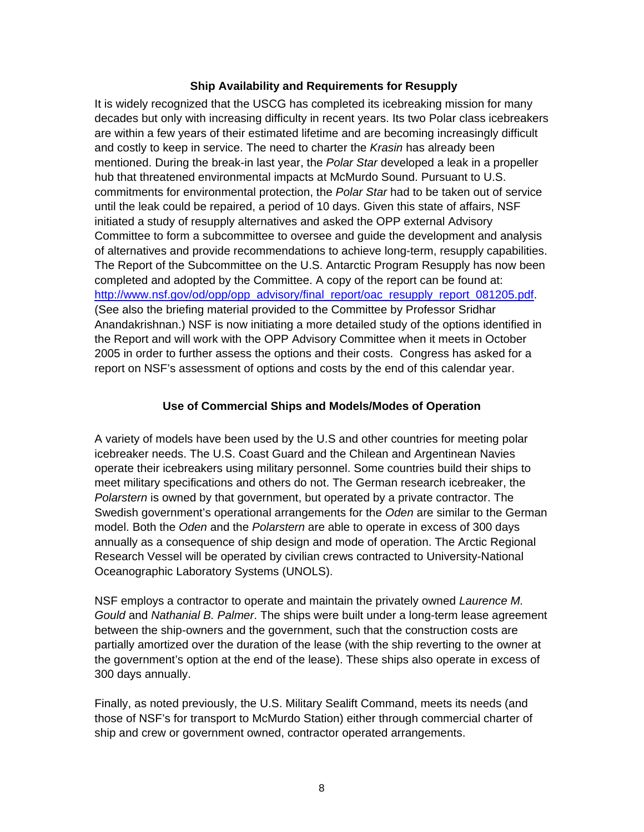#### **Ship Availability and Requirements for Resupply**

It is widely recognized that the USCG has completed its icebreaking mission for many decades but only with increasing difficulty in recent years. Its two Polar class icebreakers are within a few years of their estimated lifetime and are becoming increasingly difficult and costly to keep in service. The need to charter the *Krasin* has already been mentioned. During the break-in last year, the *Polar Star* developed a leak in a propeller hub that threatened environmental impacts at McMurdo Sound. Pursuant to U.S. commitments for environmental protection, the *Polar Star* had to be taken out of service until the leak could be repaired, a period of 10 days. Given this state of affairs, NSF initiated a study of resupply alternatives and asked the OPP external Advisory Committee to form a subcommittee to oversee and guide the development and analysis of alternatives and provide recommendations to achieve long-term, resupply capabilities. The Report of the Subcommittee on the U.S. Antarctic Program Resupply has now been completed and adopted by the Committee. A copy of the report can be found at: [http://www.nsf.gov/od/opp/opp\\_advisory/final\\_report/oac\\_resupply\\_report\\_081205.pdf.](http://www.nsf.gov/od/opp/opp_advisory/final_report/oac_resupply_report_081205.pdf) (See also the briefing material provided to the Committee by Professor Sridhar Anandakrishnan.) NSF is now initiating a more detailed study of the options identified in the Report and will work with the OPP Advisory Committee when it meets in October 2005 in order to further assess the options and their costs. Congress has asked for a report on NSF's assessment of options and costs by the end of this calendar year.

#### **Use of Commercial Ships and Models/Modes of Operation**

A variety of models have been used by the U.S and other countries for meeting polar icebreaker needs. The U.S. Coast Guard and the Chilean and Argentinean Navies operate their icebreakers using military personnel. Some countries build their ships to meet military specifications and others do not. The German research icebreaker, the *Polarstern* is owned by that government, but operated by a private contractor. The Swedish government's operational arrangements for the *Oden* are similar to the German model. Both the *Oden* and the *Polarstern* are able to operate in excess of 300 days annually as a consequence of ship design and mode of operation. The Arctic Regional Research Vessel will be operated by civilian crews contracted to University-National Oceanographic Laboratory Systems (UNOLS).

NSF employs a contractor to operate and maintain the privately owned *Laurence M. Gould* and *Nathanial B. Palmer*. The ships were built under a long-term lease agreement between the ship-owners and the government, such that the construction costs are partially amortized over the duration of the lease (with the ship reverting to the owner at the government's option at the end of the lease). These ships also operate in excess of 300 days annually.

Finally, as noted previously, the U.S. Military Sealift Command, meets its needs (and those of NSF's for transport to McMurdo Station) either through commercial charter of ship and crew or government owned, contractor operated arrangements.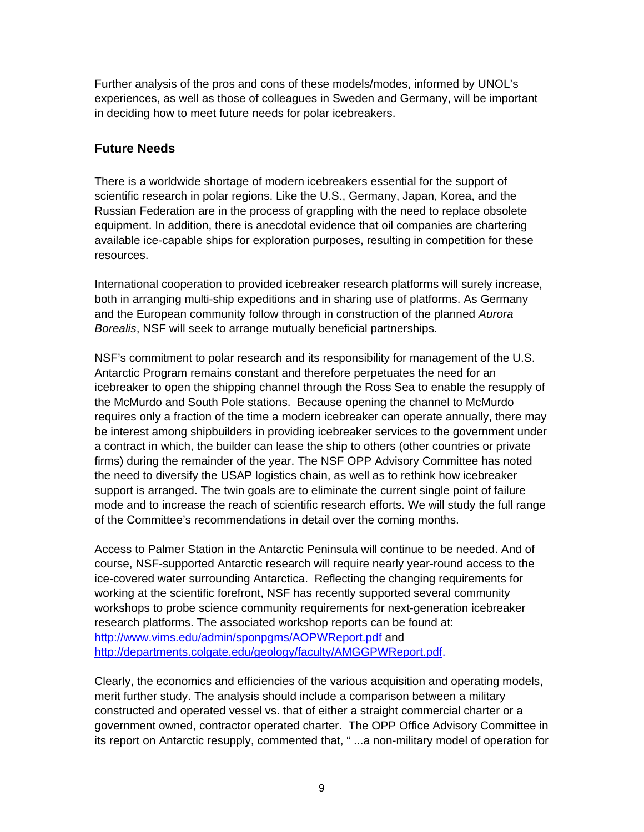Further analysis of the pros and cons of these models/modes, informed by UNOL's experiences, as well as those of colleagues in Sweden and Germany, will be important in deciding how to meet future needs for polar icebreakers.

## **Future Needs**

There is a worldwide shortage of modern icebreakers essential for the support of scientific research in polar regions. Like the U.S., Germany, Japan, Korea, and the Russian Federation are in the process of grappling with the need to replace obsolete equipment. In addition, there is anecdotal evidence that oil companies are chartering available ice-capable ships for exploration purposes, resulting in competition for these resources.

International cooperation to provided icebreaker research platforms will surely increase, both in arranging multi-ship expeditions and in sharing use of platforms. As Germany and the European community follow through in construction of the planned *Aurora Borealis*, NSF will seek to arrange mutually beneficial partnerships.

NSF's commitment to polar research and its responsibility for management of the U.S. Antarctic Program remains constant and therefore perpetuates the need for an icebreaker to open the shipping channel through the Ross Sea to enable the resupply of the McMurdo and South Pole stations. Because opening the channel to McMurdo requires only a fraction of the time a modern icebreaker can operate annually, there may be interest among shipbuilders in providing icebreaker services to the government under a contract in which, the builder can lease the ship to others (other countries or private firms) during the remainder of the year. The NSF OPP Advisory Committee has noted the need to diversify the USAP logistics chain, as well as to rethink how icebreaker support is arranged. The twin goals are to eliminate the current single point of failure mode and to increase the reach of scientific research efforts. We will study the full range of the Committee's recommendations in detail over the coming months.

Access to Palmer Station in the Antarctic Peninsula will continue to be needed. And of course, NSF-supported Antarctic research will require nearly year-round access to the ice-covered water surrounding Antarctica. Reflecting the changing requirements for working at the scientific forefront, NSF has recently supported several community workshops to probe science community requirements for next-generation icebreaker research platforms. The associated workshop reports can be found at: <http://www.vims.edu/admin/sponpgms/AOPWReport.pdf> and [http://departments.colgate.edu/geology/faculty/AMGGPWReport.pdf.](http://departments.colgate.edu/geology/faculty/AMGGPWReport.pdf)

Clearly, the economics and efficiencies of the various acquisition and operating models, merit further study. The analysis should include a comparison between a military constructed and operated vessel vs. that of either a straight commercial charter or a government owned, contractor operated charter. The OPP Office Advisory Committee in its report on Antarctic resupply, commented that, " ...a non-military model of operation for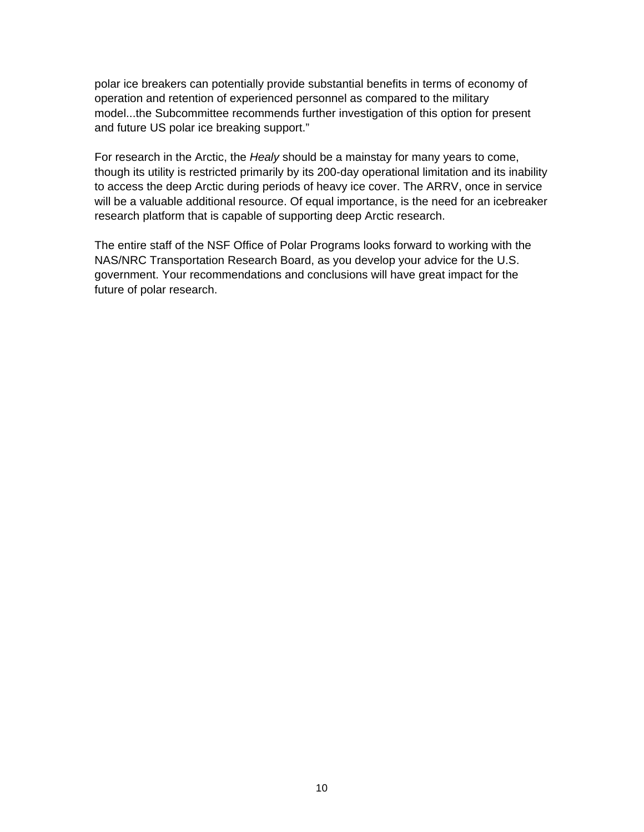polar ice breakers can potentially provide substantial benefits in terms of economy of operation and retention of experienced personnel as compared to the military model...the Subcommittee recommends further investigation of this option for present and future US polar ice breaking support."

For research in the Arctic, the *Healy* should be a mainstay for many years to come, though its utility is restricted primarily by its 200-day operational limitation and its inability to access the deep Arctic during periods of heavy ice cover. The ARRV, once in service will be a valuable additional resource. Of equal importance, is the need for an icebreaker research platform that is capable of supporting deep Arctic research.

The entire staff of the NSF Office of Polar Programs looks forward to working with the NAS/NRC Transportation Research Board, as you develop your advice for the U.S. government. Your recommendations and conclusions will have great impact for the future of polar research.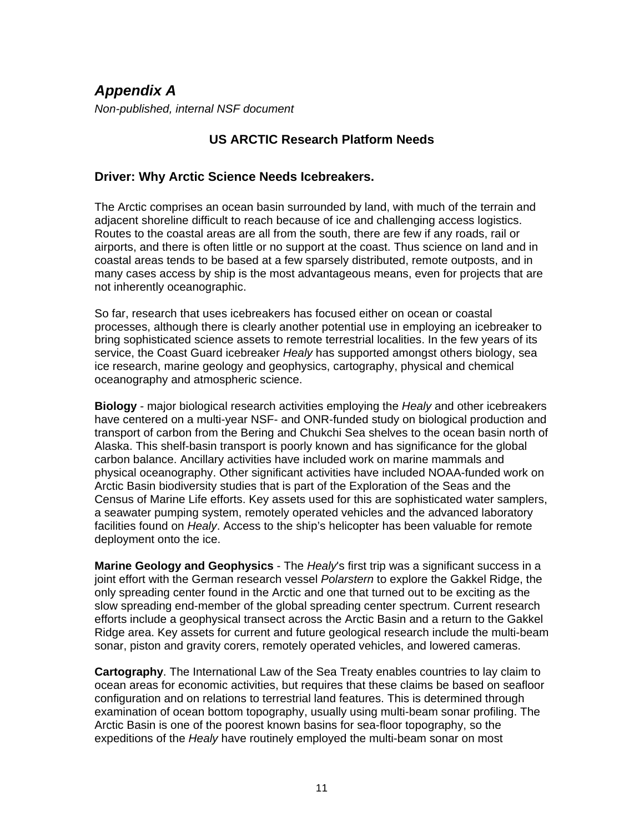# *Appendix A*

*Non-published, internal NSF document* 

## **US ARCTIC Research Platform Needs**

### **Driver: Why Arctic Science Needs Icebreakers.**

The Arctic comprises an ocean basin surrounded by land, with much of the terrain and adjacent shoreline difficult to reach because of ice and challenging access logistics. Routes to the coastal areas are all from the south, there are few if any roads, rail or airports, and there is often little or no support at the coast. Thus science on land and in coastal areas tends to be based at a few sparsely distributed, remote outposts, and in many cases access by ship is the most advantageous means, even for projects that are not inherently oceanographic.

So far, research that uses icebreakers has focused either on ocean or coastal processes, although there is clearly another potential use in employing an icebreaker to bring sophisticated science assets to remote terrestrial localities. In the few years of its service, the Coast Guard icebreaker *Healy* has supported amongst others biology, sea ice research, marine geology and geophysics, cartography, physical and chemical oceanography and atmospheric science.

**Biology** - major biological research activities employing the *Healy* and other icebreakers have centered on a multi-year NSF- and ONR-funded study on biological production and transport of carbon from the Bering and Chukchi Sea shelves to the ocean basin north of Alaska. This shelf-basin transport is poorly known and has significance for the global carbon balance. Ancillary activities have included work on marine mammals and physical oceanography. Other significant activities have included NOAA-funded work on Arctic Basin biodiversity studies that is part of the Exploration of the Seas and the Census of Marine Life efforts. Key assets used for this are sophisticated water samplers, a seawater pumping system, remotely operated vehicles and the advanced laboratory facilities found on *Healy*. Access to the ship's helicopter has been valuable for remote deployment onto the ice.

**Marine Geology and Geophysics** - The *Healy*'s first trip was a significant success in a joint effort with the German research vessel *Polarstern* to explore the Gakkel Ridge, the only spreading center found in the Arctic and one that turned out to be exciting as the slow spreading end-member of the global spreading center spectrum. Current research efforts include a geophysical transect across the Arctic Basin and a return to the Gakkel Ridge area. Key assets for current and future geological research include the multi-beam sonar, piston and gravity corers, remotely operated vehicles, and lowered cameras.

**Cartography**. The International Law of the Sea Treaty enables countries to lay claim to ocean areas for economic activities, but requires that these claims be based on seafloor configuration and on relations to terrestrial land features. This is determined through examination of ocean bottom topography, usually using multi-beam sonar profiling. The Arctic Basin is one of the poorest known basins for sea-floor topography, so the expeditions of the *Healy* have routinely employed the multi-beam sonar on most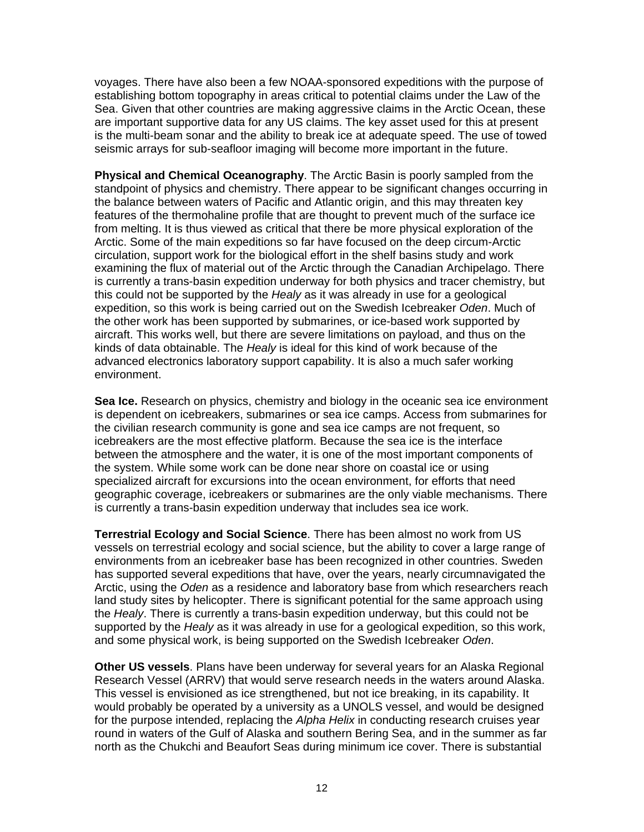voyages. There have also been a few NOAA-sponsored expeditions with the purpose of establishing bottom topography in areas critical to potential claims under the Law of the Sea. Given that other countries are making aggressive claims in the Arctic Ocean, these are important supportive data for any US claims. The key asset used for this at present is the multi-beam sonar and the ability to break ice at adequate speed. The use of towed seismic arrays for sub-seafloor imaging will become more important in the future.

**Physical and Chemical Oceanography**. The Arctic Basin is poorly sampled from the standpoint of physics and chemistry. There appear to be significant changes occurring in the balance between waters of Pacific and Atlantic origin, and this may threaten key features of the thermohaline profile that are thought to prevent much of the surface ice from melting. It is thus viewed as critical that there be more physical exploration of the Arctic. Some of the main expeditions so far have focused on the deep circum-Arctic circulation, support work for the biological effort in the shelf basins study and work examining the flux of material out of the Arctic through the Canadian Archipelago. There is currently a trans-basin expedition underway for both physics and tracer chemistry, but this could not be supported by the *Healy* as it was already in use for a geological expedition, so this work is being carried out on the Swedish Icebreaker *Oden*. Much of the other work has been supported by submarines, or ice-based work supported by aircraft. This works well, but there are severe limitations on payload, and thus on the kinds of data obtainable. The *Healy* is ideal for this kind of work because of the advanced electronics laboratory support capability. It is also a much safer working environment.

**Sea Ice.** Research on physics, chemistry and biology in the oceanic sea ice environment is dependent on icebreakers, submarines or sea ice camps. Access from submarines for the civilian research community is gone and sea ice camps are not frequent, so icebreakers are the most effective platform. Because the sea ice is the interface between the atmosphere and the water, it is one of the most important components of the system. While some work can be done near shore on coastal ice or using specialized aircraft for excursions into the ocean environment, for efforts that need geographic coverage, icebreakers or submarines are the only viable mechanisms. There is currently a trans-basin expedition underway that includes sea ice work.

**Terrestrial Ecology and Social Science**. There has been almost no work from US vessels on terrestrial ecology and social science, but the ability to cover a large range of environments from an icebreaker base has been recognized in other countries. Sweden has supported several expeditions that have, over the years, nearly circumnavigated the Arctic, using the *Oden* as a residence and laboratory base from which researchers reach land study sites by helicopter. There is significant potential for the same approach using the *Healy*. There is currently a trans-basin expedition underway, but this could not be supported by the *Healy* as it was already in use for a geological expedition, so this work, and some physical work, is being supported on the Swedish Icebreaker *Oden*.

**Other US vessels**. Plans have been underway for several years for an Alaska Regional Research Vessel (ARRV) that would serve research needs in the waters around Alaska. This vessel is envisioned as ice strengthened, but not ice breaking, in its capability. It would probably be operated by a university as a UNOLS vessel, and would be designed for the purpose intended, replacing the *Alpha Helix* in conducting research cruises year round in waters of the Gulf of Alaska and southern Bering Sea, and in the summer as far north as the Chukchi and Beaufort Seas during minimum ice cover. There is substantial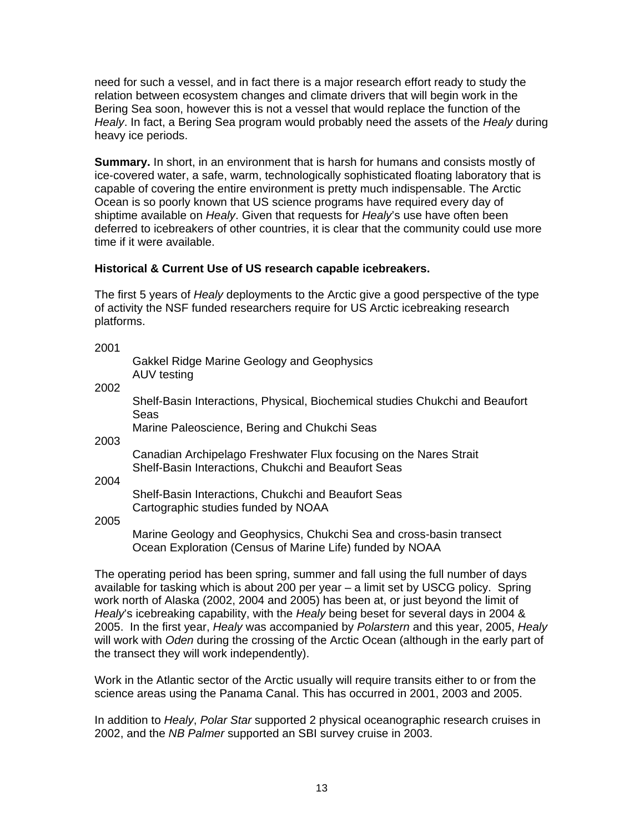need for such a vessel, and in fact there is a major research effort ready to study the relation between ecosystem changes and climate drivers that will begin work in the Bering Sea soon, however this is not a vessel that would replace the function of the *Healy*. In fact, a Bering Sea program would probably need the assets of the *Healy* during heavy ice periods.

**Summary.** In short, in an environment that is harsh for humans and consists mostly of ice-covered water, a safe, warm, technologically sophisticated floating laboratory that is capable of covering the entire environment is pretty much indispensable. The Arctic Ocean is so poorly known that US science programs have required every day of shiptime available on *Healy*. Given that requests for *Healy*'s use have often been deferred to icebreakers of other countries, it is clear that the community could use more time if it were available.

#### **Historical & Current Use of US research capable icebreakers.**

The first 5 years of *Healy* deployments to the Arctic give a good perspective of the type of activity the NSF funded researchers require for US Arctic icebreaking research platforms.

2001

Gakkel Ridge Marine Geology and Geophysics AUV testing

2002

Shelf-Basin Interactions, Physical, Biochemical studies Chukchi and Beaufort Seas

Marine Paleoscience, Bering and Chukchi Seas

2003

 Canadian Archipelago Freshwater Flux focusing on the Nares Strait Shelf-Basin Interactions, Chukchi and Beaufort Seas

2004

Shelf-Basin Interactions, Chukchi and Beaufort Seas Cartographic studies funded by NOAA

2005

Marine Geology and Geophysics, Chukchi Sea and cross-basin transect Ocean Exploration (Census of Marine Life) funded by NOAA

The operating period has been spring, summer and fall using the full number of days available for tasking which is about 200 per year – a limit set by USCG policy. Spring work north of Alaska (2002, 2004 and 2005) has been at, or just beyond the limit of *Healy*'s icebreaking capability, with the *Healy* being beset for several days in 2004 & 2005. In the first year, *Healy* was accompanied by *Polarstern* and this year, 2005, *Healy* will work with *Oden* during the crossing of the Arctic Ocean (although in the early part of the transect they will work independently).

Work in the Atlantic sector of the Arctic usually will require transits either to or from the science areas using the Panama Canal. This has occurred in 2001, 2003 and 2005.

In addition to *Healy*, *Polar Star* supported 2 physical oceanographic research cruises in 2002, and the *NB Palmer* supported an SBI survey cruise in 2003.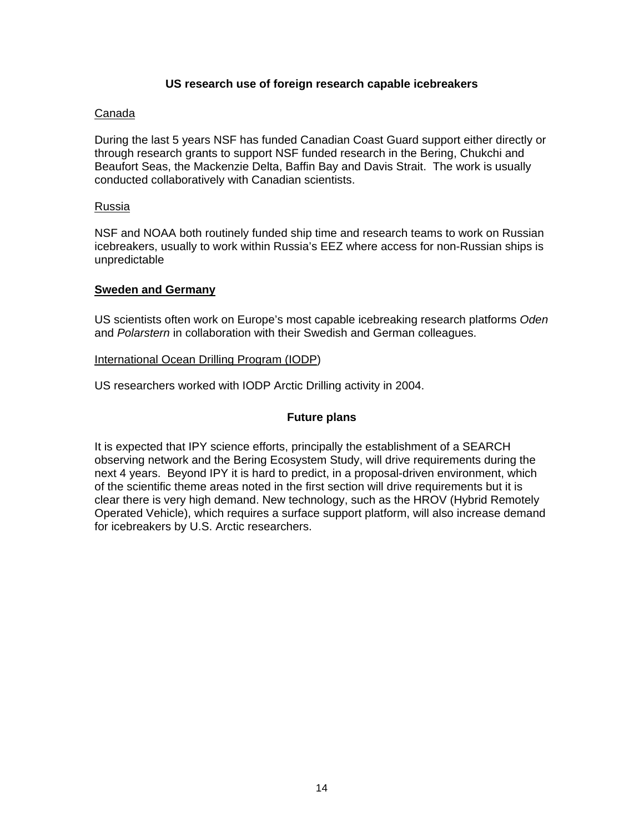#### **US research use of foreign research capable icebreakers**

#### Canada

During the last 5 years NSF has funded Canadian Coast Guard support either directly or through research grants to support NSF funded research in the Bering, Chukchi and Beaufort Seas, the Mackenzie Delta, Baffin Bay and Davis Strait. The work is usually conducted collaboratively with Canadian scientists.

#### Russia

NSF and NOAA both routinely funded ship time and research teams to work on Russian icebreakers, usually to work within Russia's EEZ where access for non-Russian ships is unpredictable

#### **Sweden and Germany**

US scientists often work on Europe's most capable icebreaking research platforms *Oden* and *Polarstern* in collaboration with their Swedish and German colleagues.

#### International Ocean Drilling Program (IODP)

US researchers worked with IODP Arctic Drilling activity in 2004.

#### **Future plans**

It is expected that IPY science efforts, principally the establishment of a SEARCH observing network and the Bering Ecosystem Study, will drive requirements during the next 4 years. Beyond IPY it is hard to predict, in a proposal-driven environment, which of the scientific theme areas noted in the first section will drive requirements but it is clear there is very high demand. New technology, such as the HROV (Hybrid Remotely Operated Vehicle), which requires a surface support platform, will also increase demand for icebreakers by U.S. Arctic researchers.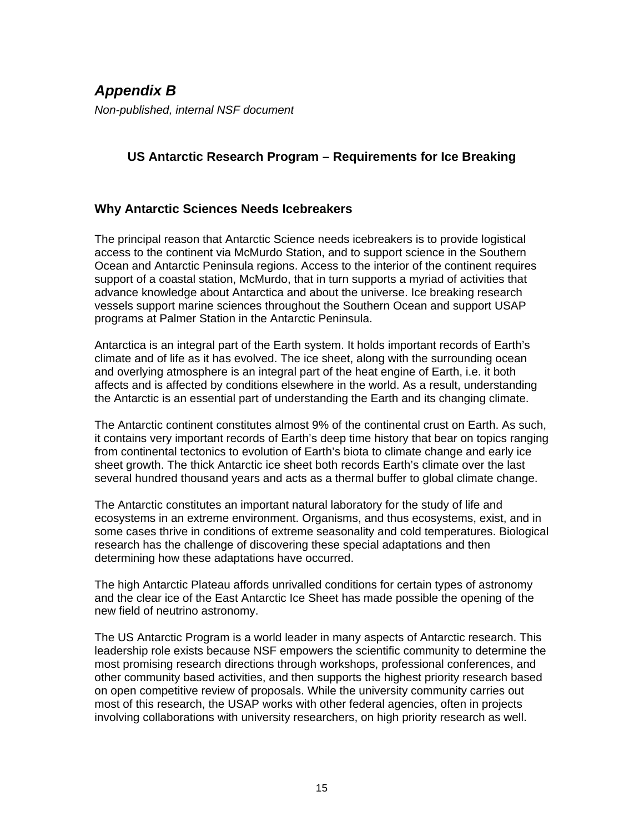# *Appendix B Non-published, internal NSF document*

## **US Antarctic Research Program – Requirements for Ice Breaking**

### **Why Antarctic Sciences Needs Icebreakers**

The principal reason that Antarctic Science needs icebreakers is to provide logistical access to the continent via McMurdo Station, and to support science in the Southern Ocean and Antarctic Peninsula regions. Access to the interior of the continent requires support of a coastal station, McMurdo, that in turn supports a myriad of activities that advance knowledge about Antarctica and about the universe. Ice breaking research vessels support marine sciences throughout the Southern Ocean and support USAP programs at Palmer Station in the Antarctic Peninsula.

Antarctica is an integral part of the Earth system. It holds important records of Earth's climate and of life as it has evolved. The ice sheet, along with the surrounding ocean and overlying atmosphere is an integral part of the heat engine of Earth, i.e. it both affects and is affected by conditions elsewhere in the world. As a result, understanding the Antarctic is an essential part of understanding the Earth and its changing climate.

The Antarctic continent constitutes almost 9% of the continental crust on Earth. As such, it contains very important records of Earth's deep time history that bear on topics ranging from continental tectonics to evolution of Earth's biota to climate change and early ice sheet growth. The thick Antarctic ice sheet both records Earth's climate over the last several hundred thousand years and acts as a thermal buffer to global climate change.

The Antarctic constitutes an important natural laboratory for the study of life and ecosystems in an extreme environment. Organisms, and thus ecosystems, exist, and in some cases thrive in conditions of extreme seasonality and cold temperatures. Biological research has the challenge of discovering these special adaptations and then determining how these adaptations have occurred.

The high Antarctic Plateau affords unrivalled conditions for certain types of astronomy and the clear ice of the East Antarctic Ice Sheet has made possible the opening of the new field of neutrino astronomy.

The US Antarctic Program is a world leader in many aspects of Antarctic research. This leadership role exists because NSF empowers the scientific community to determine the most promising research directions through workshops, professional conferences, and other community based activities, and then supports the highest priority research based on open competitive review of proposals. While the university community carries out most of this research, the USAP works with other federal agencies, often in projects involving collaborations with university researchers, on high priority research as well.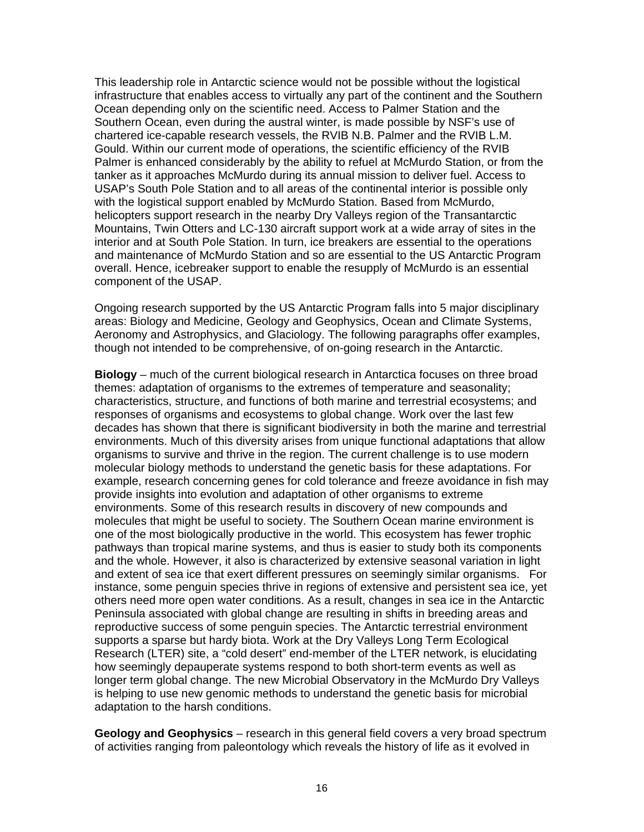This leadership role in Antarctic science would not be possible without the logistical infrastructure that enables access to virtually any part of the continent and the Southern Ocean depending only on the scientific need. Access to Palmer Station and the Southern Ocean, even during the austral winter, is made possible by NSF's use of chartered ice-capable research vessels, the RVIB N.B. Palmer and the RVIB L.M. Gould. Within our current mode of operations, the scientific efficiency of the RVIB Palmer is enhanced considerably by the ability to refuel at McMurdo Station, or from the tanker as it approaches McMurdo during its annual mission to deliver fuel. Access to USAP's South Pole Station and to all areas of the continental interior is possible only with the logistical support enabled by McMurdo Station. Based from McMurdo, helicopters support research in the nearby Dry Valleys region of the Transantarctic Mountains, Twin Otters and LC-130 aircraft support work at a wide array of sites in the interior and at South Pole Station. In turn, ice breakers are essential to the operations and maintenance of McMurdo Station and so are essential to the US Antarctic Program overall. Hence, icebreaker support to enable the resupply of McMurdo is an essential component of the USAP.

Ongoing research supported by the US Antarctic Program falls into 5 major disciplinary areas: Biology and Medicine, Geology and Geophysics, Ocean and Climate Systems, Aeronomy and Astrophysics, and Glaciology. The following paragraphs offer examples, though not intended to be comprehensive, of on-going research in the Antarctic.

**Biology** – much of the current biological research in Antarctica focuses on three broad themes: adaptation of organisms to the extremes of temperature and seasonality; characteristics, structure, and functions of both marine and terrestrial ecosystems; and responses of organisms and ecosystems to global change. Work over the last few decades has shown that there is significant biodiversity in both the marine and terrestrial environments. Much of this diversity arises from unique functional adaptations that allow organisms to survive and thrive in the region. The current challenge is to use modern molecular biology methods to understand the genetic basis for these adaptations. For example, research concerning genes for cold tolerance and freeze avoidance in fish may provide insights into evolution and adaptation of other organisms to extreme environments. Some of this research results in discovery of new compounds and molecules that might be useful to society. The Southern Ocean marine environment is one of the most biologically productive in the world. This ecosystem has fewer trophic pathways than tropical marine systems, and thus is easier to study both its components and the whole. However, it also is characterized by extensive seasonal variation in light and extent of sea ice that exert different pressures on seemingly similar organisms. For instance, some penguin species thrive in regions of extensive and persistent sea ice, yet others need more open water conditions. As a result, changes in sea ice in the Antarctic Peninsula associated with global change are resulting in shifts in breeding areas and reproductive success of some penguin species. The Antarctic terrestrial environment supports a sparse but hardy biota. Work at the Dry Valleys Long Term Ecological Research (LTER) site, a "cold desert" end-member of the LTER network, is elucidating how seemingly depauperate systems respond to both short-term events as well as longer term global change. The new Microbial Observatory in the McMurdo Dry Valleys is helping to use new genomic methods to understand the genetic basis for microbial adaptation to the harsh conditions.

**Geology and Geophysics** – research in this general field covers a very broad spectrum of activities ranging from paleontology which reveals the history of life as it evolved in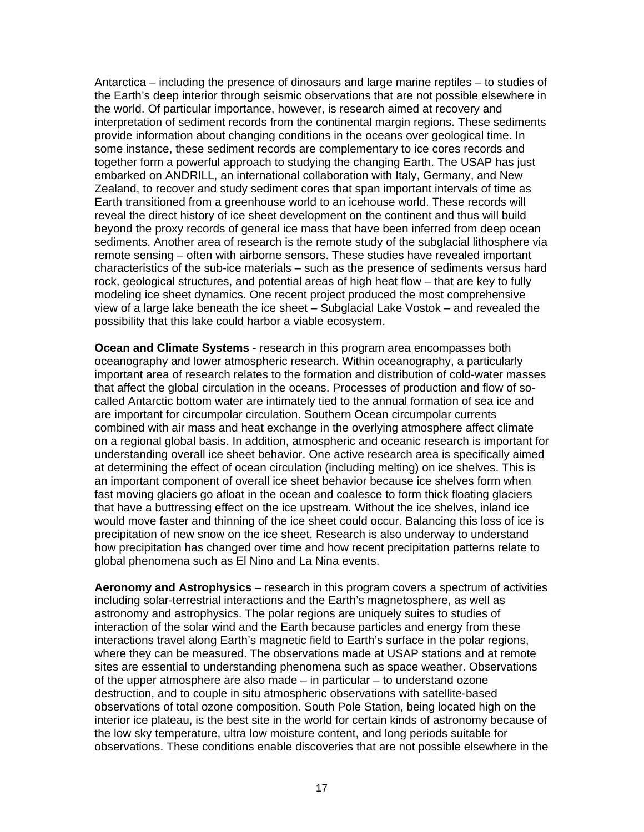Antarctica – including the presence of dinosaurs and large marine reptiles – to studies of the Earth's deep interior through seismic observations that are not possible elsewhere in the world. Of particular importance, however, is research aimed at recovery and interpretation of sediment records from the continental margin regions. These sediments provide information about changing conditions in the oceans over geological time. In some instance, these sediment records are complementary to ice cores records and together form a powerful approach to studying the changing Earth. The USAP has just embarked on ANDRILL, an international collaboration with Italy, Germany, and New Zealand, to recover and study sediment cores that span important intervals of time as Earth transitioned from a greenhouse world to an icehouse world. These records will reveal the direct history of ice sheet development on the continent and thus will build beyond the proxy records of general ice mass that have been inferred from deep ocean sediments. Another area of research is the remote study of the subglacial lithosphere via remote sensing – often with airborne sensors. These studies have revealed important characteristics of the sub-ice materials – such as the presence of sediments versus hard rock, geological structures, and potential areas of high heat flow – that are key to fully modeling ice sheet dynamics. One recent project produced the most comprehensive view of a large lake beneath the ice sheet – Subglacial Lake Vostok – and revealed the possibility that this lake could harbor a viable ecosystem.

**Ocean and Climate Systems** - research in this program area encompasses both oceanography and lower atmospheric research. Within oceanography, a particularly important area of research relates to the formation and distribution of cold-water masses that affect the global circulation in the oceans. Processes of production and flow of socalled Antarctic bottom water are intimately tied to the annual formation of sea ice and are important for circumpolar circulation. Southern Ocean circumpolar currents combined with air mass and heat exchange in the overlying atmosphere affect climate on a regional global basis. In addition, atmospheric and oceanic research is important for understanding overall ice sheet behavior. One active research area is specifically aimed at determining the effect of ocean circulation (including melting) on ice shelves. This is an important component of overall ice sheet behavior because ice shelves form when fast moving glaciers go afloat in the ocean and coalesce to form thick floating glaciers that have a buttressing effect on the ice upstream. Without the ice shelves, inland ice would move faster and thinning of the ice sheet could occur. Balancing this loss of ice is precipitation of new snow on the ice sheet. Research is also underway to understand how precipitation has changed over time and how recent precipitation patterns relate to global phenomena such as El Nino and La Nina events.

**Aeronomy and Astrophysics** – research in this program covers a spectrum of activities including solar-terrestrial interactions and the Earth's magnetosphere, as well as astronomy and astrophysics. The polar regions are uniquely suites to studies of interaction of the solar wind and the Earth because particles and energy from these interactions travel along Earth's magnetic field to Earth's surface in the polar regions, where they can be measured. The observations made at USAP stations and at remote sites are essential to understanding phenomena such as space weather. Observations of the upper atmosphere are also made – in particular – to understand ozone destruction, and to couple in situ atmospheric observations with satellite-based observations of total ozone composition. South Pole Station, being located high on the interior ice plateau, is the best site in the world for certain kinds of astronomy because of the low sky temperature, ultra low moisture content, and long periods suitable for observations. These conditions enable discoveries that are not possible elsewhere in the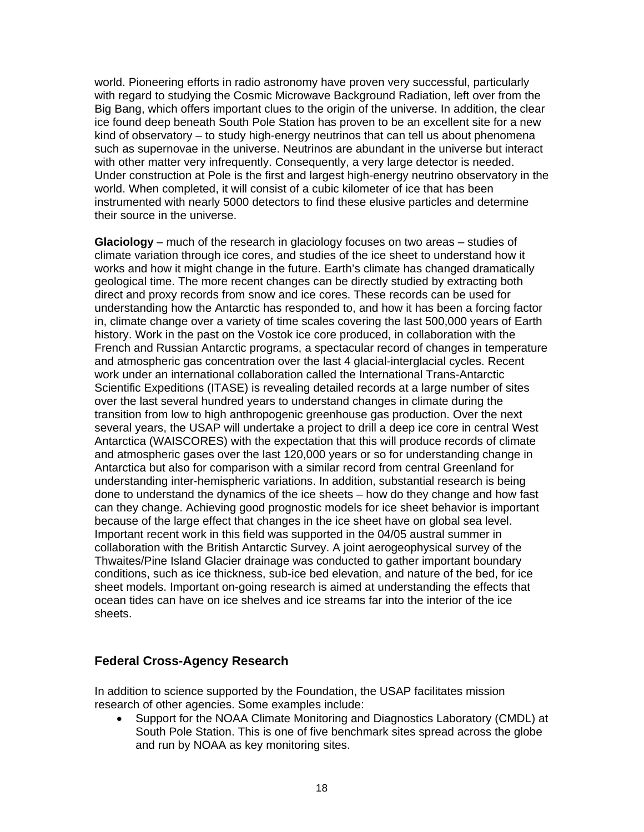world. Pioneering efforts in radio astronomy have proven very successful, particularly with regard to studying the Cosmic Microwave Background Radiation, left over from the Big Bang, which offers important clues to the origin of the universe. In addition, the clear ice found deep beneath South Pole Station has proven to be an excellent site for a new kind of observatory – to study high-energy neutrinos that can tell us about phenomena such as supernovae in the universe. Neutrinos are abundant in the universe but interact with other matter very infrequently. Consequently, a very large detector is needed. Under construction at Pole is the first and largest high-energy neutrino observatory in the world. When completed, it will consist of a cubic kilometer of ice that has been instrumented with nearly 5000 detectors to find these elusive particles and determine their source in the universe.

**Glaciology** – much of the research in glaciology focuses on two areas – studies of climate variation through ice cores, and studies of the ice sheet to understand how it works and how it might change in the future. Earth's climate has changed dramatically geological time. The more recent changes can be directly studied by extracting both direct and proxy records from snow and ice cores. These records can be used for understanding how the Antarctic has responded to, and how it has been a forcing factor in, climate change over a variety of time scales covering the last 500,000 years of Earth history. Work in the past on the Vostok ice core produced, in collaboration with the French and Russian Antarctic programs, a spectacular record of changes in temperature and atmospheric gas concentration over the last 4 glacial-interglacial cycles. Recent work under an international collaboration called the International Trans-Antarctic Scientific Expeditions (ITASE) is revealing detailed records at a large number of sites over the last several hundred years to understand changes in climate during the transition from low to high anthropogenic greenhouse gas production. Over the next several years, the USAP will undertake a project to drill a deep ice core in central West Antarctica (WAISCORES) with the expectation that this will produce records of climate and atmospheric gases over the last 120,000 years or so for understanding change in Antarctica but also for comparison with a similar record from central Greenland for understanding inter-hemispheric variations. In addition, substantial research is being done to understand the dynamics of the ice sheets – how do they change and how fast can they change. Achieving good prognostic models for ice sheet behavior is important because of the large effect that changes in the ice sheet have on global sea level. Important recent work in this field was supported in the 04/05 austral summer in collaboration with the British Antarctic Survey. A joint aerogeophysical survey of the Thwaites/Pine Island Glacier drainage was conducted to gather important boundary conditions, such as ice thickness, sub-ice bed elevation, and nature of the bed, for ice sheet models. Important on-going research is aimed at understanding the effects that ocean tides can have on ice shelves and ice streams far into the interior of the ice sheets.

## **Federal Cross-Agency Research**

In addition to science supported by the Foundation, the USAP facilitates mission research of other agencies. Some examples include:

• Support for the NOAA Climate Monitoring and Diagnostics Laboratory (CMDL) at South Pole Station. This is one of five benchmark sites spread across the globe and run by NOAA as key monitoring sites.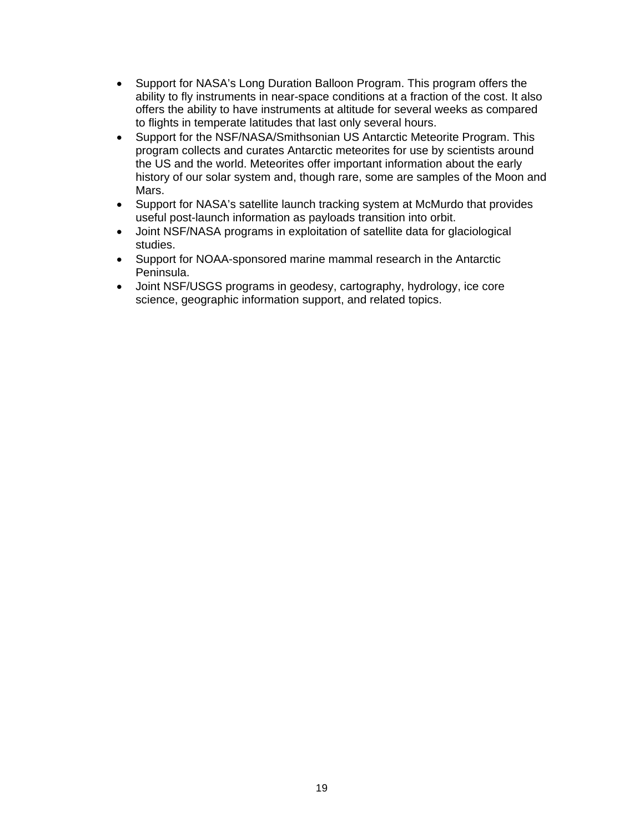- Support for NASA's Long Duration Balloon Program. This program offers the ability to fly instruments in near-space conditions at a fraction of the cost. It also offers the ability to have instruments at altitude for several weeks as compared to flights in temperate latitudes that last only several hours.
- Support for the NSF/NASA/Smithsonian US Antarctic Meteorite Program. This program collects and curates Antarctic meteorites for use by scientists around the US and the world. Meteorites offer important information about the early history of our solar system and, though rare, some are samples of the Moon and Mars.
- Support for NASA's satellite launch tracking system at McMurdo that provides useful post-launch information as payloads transition into orbit.
- Joint NSF/NASA programs in exploitation of satellite data for glaciological studies.
- Support for NOAA-sponsored marine mammal research in the Antarctic Peninsula.
- Joint NSF/USGS programs in geodesy, cartography, hydrology, ice core science, geographic information support, and related topics.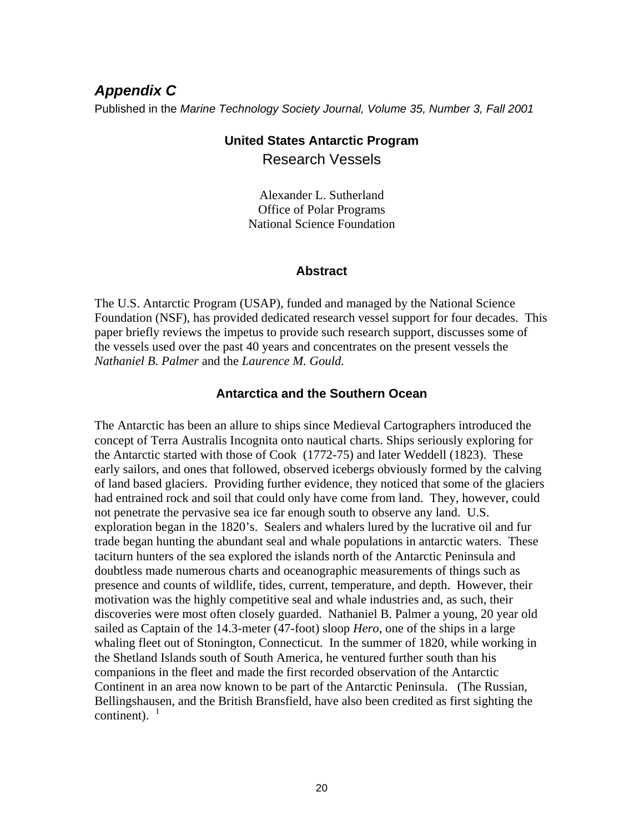# *Appendix C*

Published in the *Marine Technology Society Journal, Volume 35, Number 3, Fall 2001*

# **United States Antarctic Program**  Research Vessels

Alexander L. Sutherland Office of Polar Programs National Science Foundation

#### **Abstract**

The U.S. Antarctic Program (USAP), funded and managed by the National Science Foundation (NSF), has provided dedicated research vessel support for four decades. This paper briefly reviews the impetus to provide such research support, discusses some of the vessels used over the past 40 years and concentrates on the present vessels the *Nathaniel B. Palmer* and the *Laurence M. Gould.* 

## **Antarctica and the Southern Ocean**

The Antarctic has been an allure to ships since Medieval Cartographers introduced the concept of Terra Australis Incognita onto nautical charts. Ships seriously exploring for the Antarctic started with those of Cook (1772-75) and later Weddell (1823). These early sailors, and ones that followed, observed icebergs obviously formed by the calving of land based glaciers. Providing further evidence, they noticed that some of the glaciers had entrained rock and soil that could only have come from land. They, however, could not penetrate the pervasive sea ice far enough south to observe any land. U.S. exploration began in the 1820's. Sealers and whalers lured by the lucrative oil and fur trade began hunting the abundant seal and whale populations in antarctic waters. These taciturn hunters of the sea explored the islands north of the Antarctic Peninsula and doubtless made numerous charts and oceanographic measurements of things such as presence and counts of wildlife, tides, current, temperature, and depth. However, their motivation was the highly competitive seal and whale industries and, as such, their discoveries were most often closely guarded. Nathaniel B. Palmer a young, 20 year old sailed as Captain of the 14.3-meter (47-foot) sloop *Hero*, one of the ships in a large whaling fleet out of Stonington, Connecticut. In the summer of 1820, while working in the Shetland Islands south of South America, he ventured further south than his companions in the fleet and made the first recorded observation of the Antarctic Continent in an area now known to be part of the Antarctic Peninsula. (The Russian, Bellingshausen, and the British Bransfield, have also been credited as first sighting the continent).  $1$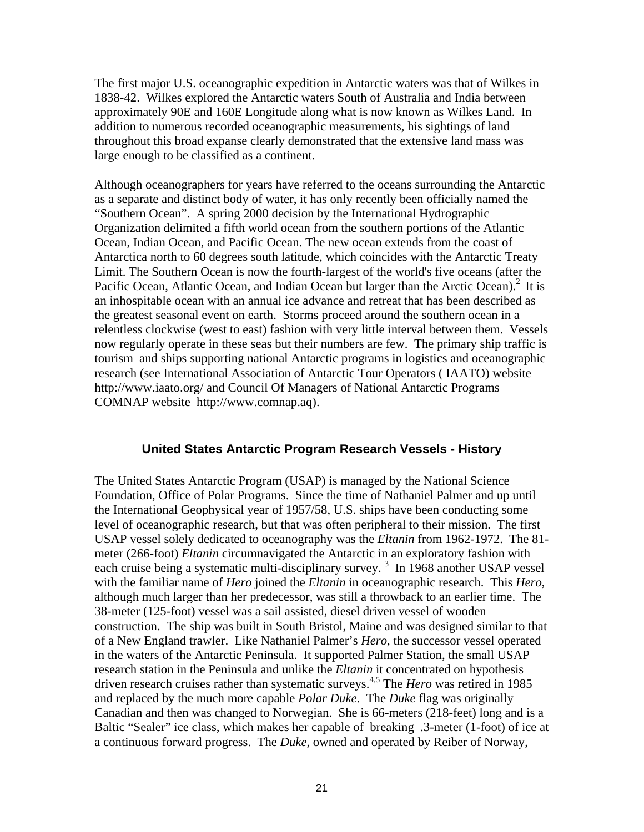The first major U.S. oceanographic expedition in Antarctic waters was that of Wilkes in 1838-42. Wilkes explored the Antarctic waters South of Australia and India between approximately 90E and 160E Longitude along what is now known as Wilkes Land. In addition to numerous recorded oceanographic measurements, his sightings of land throughout this broad expanse clearly demonstrated that the extensive land mass was large enough to be classified as a continent.

Although oceanographers for years have referred to the oceans surrounding the Antarctic as a separate and distinct body of water, it has only recently been officially named the "Southern Ocean". A spring 2000 decision by the International Hydrographic Organization delimited a fifth world ocean from the southern portions of the Atlantic Ocean, Indian Ocean, and Pacific Ocean. The new ocean extends from the coast of Antarctica north to 60 degrees south latitude, which coincides with the Antarctic Treaty Limit. The Southern Ocean is now the fourth-largest of the world's five oceans (after the Pacific Ocean, Atlantic Ocean, and Indian Ocean but larger than the Arctic Ocean).<sup>2</sup> It is an inhospitable ocean with an annual ice advance and retreat that has been described as the greatest seasonal event on earth. Storms proceed around the southern ocean in a relentless clockwise (west to east) fashion with very little interval between them. Vessels now regularly operate in these seas but their numbers are few. The primary ship traffic is tourism and ships supporting national Antarctic programs in logistics and oceanographic research (see International Association of Antarctic Tour Operators ( IAATO) website http://www.iaato.org/ and Council Of Managers of National Antarctic Programs COMNAP website http://www.comnap.aq).

#### **United States Antarctic Program Research Vessels - History**

The United States Antarctic Program (USAP) is managed by the National Science Foundation, Office of Polar Programs. Since the time of Nathaniel Palmer and up until the International Geophysical year of 1957/58, U.S. ships have been conducting some level of oceanographic research, but that was often peripheral to their mission. The first USAP vessel solely dedicated to oceanography was the *Eltanin* from 1962-1972. The 81 meter (266-foot) *Eltanin* circumnavigated the Antarctic in an exploratory fashion with each cruise being a systematic multi-disciplinary survey.<sup>3</sup> In 1968 another USAP vessel with the familiar name of *Hero* joined the *Eltanin* in oceanographic research. This *Hero*, although much larger than her predecessor, was still a throwback to an earlier time. The 38-meter (125-foot) vessel was a sail assisted, diesel driven vessel of wooden construction. The ship was built in South Bristol, Maine and was designed similar to that of a New England trawler. Like Nathaniel Palmer's *Hero*, the successor vessel operated in the waters of the Antarctic Peninsula. It supported Palmer Station, the small USAP research station in the Peninsula and unlike the *Eltanin* it concentrated on hypothesis driven research cruises rather than systematic surveys.4,5 The *Hero* was retired in 1985 and replaced by the much more capable *Polar Duke*. The *Duke* flag was originally Canadian and then was changed to Norwegian. She is 66-meters (218-feet) long and is a Baltic "Sealer" ice class, which makes her capable of breaking .3-meter (1-foot) of ice at a continuous forward progress. The *Duke*, owned and operated by Reiber of Norway,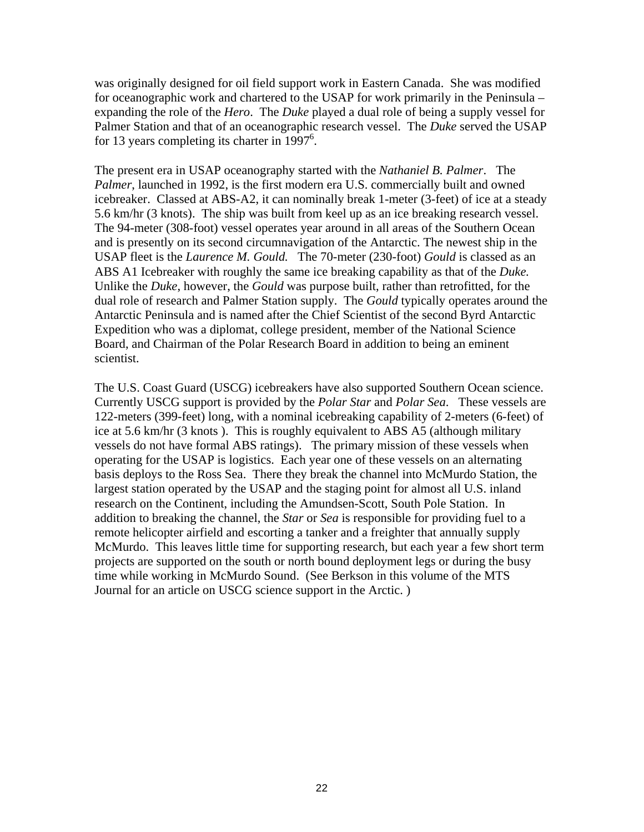was originally designed for oil field support work in Eastern Canada. She was modified for oceanographic work and chartered to the USAP for work primarily in the Peninsula – expanding the role of the *Hero*. The *Duke* played a dual role of being a supply vessel for Palmer Station and that of an oceanographic research vessel. The *Duke* served the USAP for 13 years completing its charter in  $1997^6$ .

The present era in USAP oceanography started with the *Nathaniel B. Palmer*. The *Palmer*, launched in 1992, is the first modern era U.S. commercially built and owned icebreaker. Classed at ABS-A2, it can nominally break 1-meter (3-feet) of ice at a steady 5.6 km/hr (3 knots). The ship was built from keel up as an ice breaking research vessel. The 94-meter (308-foot) vessel operates year around in all areas of the Southern Ocean and is presently on its second circumnavigation of the Antarctic. The newest ship in the USAP fleet is the *Laurence M. Gould.* The 70-meter (230-foot) *Gould* is classed as an ABS A1 Icebreaker with roughly the same ice breaking capability as that of the *Duke.* Unlike the *Duke*, however, the *Gould* was purpose built, rather than retrofitted, for the dual role of research and Palmer Station supply. The *Gould* typically operates around the Antarctic Peninsula and is named after the Chief Scientist of the second Byrd Antarctic Expedition who was a diplomat, college president, member of the National Science Board, and Chairman of the Polar Research Board in addition to being an eminent scientist.

The U.S. Coast Guard (USCG) icebreakers have also supported Southern Ocean science. Currently USCG support is provided by the *Polar Star* and *Polar Sea*. These vessels are 122-meters (399-feet) long, with a nominal icebreaking capability of 2-meters (6-feet) of ice at 5.6 km/hr (3 knots ). This is roughly equivalent to ABS A5 (although military vessels do not have formal ABS ratings). The primary mission of these vessels when operating for the USAP is logistics. Each year one of these vessels on an alternating basis deploys to the Ross Sea. There they break the channel into McMurdo Station, the largest station operated by the USAP and the staging point for almost all U.S. inland research on the Continent, including the Amundsen-Scott, South Pole Station. In addition to breaking the channel, the *Star* or *Sea* is responsible for providing fuel to a remote helicopter airfield and escorting a tanker and a freighter that annually supply McMurdo. This leaves little time for supporting research, but each year a few short term projects are supported on the south or north bound deployment legs or during the busy time while working in McMurdo Sound. (See Berkson in this volume of the MTS Journal for an article on USCG science support in the Arctic. )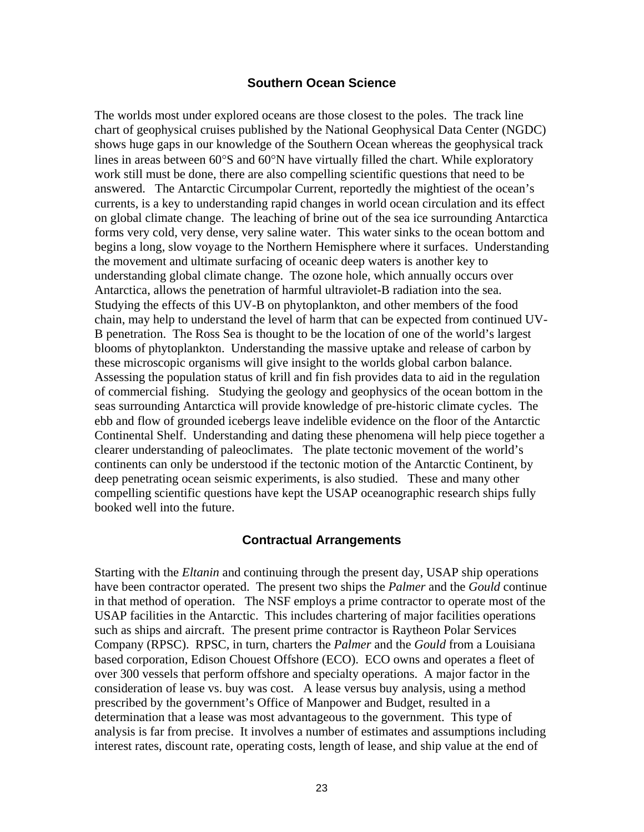#### **Southern Ocean Science**

The worlds most under explored oceans are those closest to the poles. The track line chart of geophysical cruises published by the National Geophysical Data Center (NGDC) shows huge gaps in our knowledge of the Southern Ocean whereas the geophysical track lines in areas between 60°S and 60°N have virtually filled the chart. While exploratory work still must be done, there are also compelling scientific questions that need to be answered. The Antarctic Circumpolar Current, reportedly the mightiest of the ocean's currents, is a key to understanding rapid changes in world ocean circulation and its effect on global climate change. The leaching of brine out of the sea ice surrounding Antarctica forms very cold, very dense, very saline water. This water sinks to the ocean bottom and begins a long, slow voyage to the Northern Hemisphere where it surfaces. Understanding the movement and ultimate surfacing of oceanic deep waters is another key to understanding global climate change. The ozone hole, which annually occurs over Antarctica, allows the penetration of harmful ultraviolet-B radiation into the sea. Studying the effects of this UV-B on phytoplankton, and other members of the food chain, may help to understand the level of harm that can be expected from continued UV-B penetration. The Ross Sea is thought to be the location of one of the world's largest blooms of phytoplankton. Understanding the massive uptake and release of carbon by these microscopic organisms will give insight to the worlds global carbon balance. Assessing the population status of krill and fin fish provides data to aid in the regulation of commercial fishing. Studying the geology and geophysics of the ocean bottom in the seas surrounding Antarctica will provide knowledge of pre-historic climate cycles. The ebb and flow of grounded icebergs leave indelible evidence on the floor of the Antarctic Continental Shelf. Understanding and dating these phenomena will help piece together a clearer understanding of paleoclimates. The plate tectonic movement of the world's continents can only be understood if the tectonic motion of the Antarctic Continent, by deep penetrating ocean seismic experiments, is also studied. These and many other compelling scientific questions have kept the USAP oceanographic research ships fully booked well into the future.

#### **Contractual Arrangements**

Starting with the *Eltanin* and continuing through the present day, USAP ship operations have been contractor operated. The present two ships the *Palmer* and the *Gould* continue in that method of operation. The NSF employs a prime contractor to operate most of the USAP facilities in the Antarctic. This includes chartering of major facilities operations such as ships and aircraft. The present prime contractor is Raytheon Polar Services Company (RPSC). RPSC, in turn, charters the *Palmer* and the *Gould* from a Louisiana based corporation, Edison Chouest Offshore (ECO). ECO owns and operates a fleet of over 300 vessels that perform offshore and specialty operations. A major factor in the consideration of lease vs. buy was cost. A lease versus buy analysis, using a method prescribed by the government's Office of Manpower and Budget, resulted in a determination that a lease was most advantageous to the government. This type of analysis is far from precise. It involves a number of estimates and assumptions including interest rates, discount rate, operating costs, length of lease, and ship value at the end of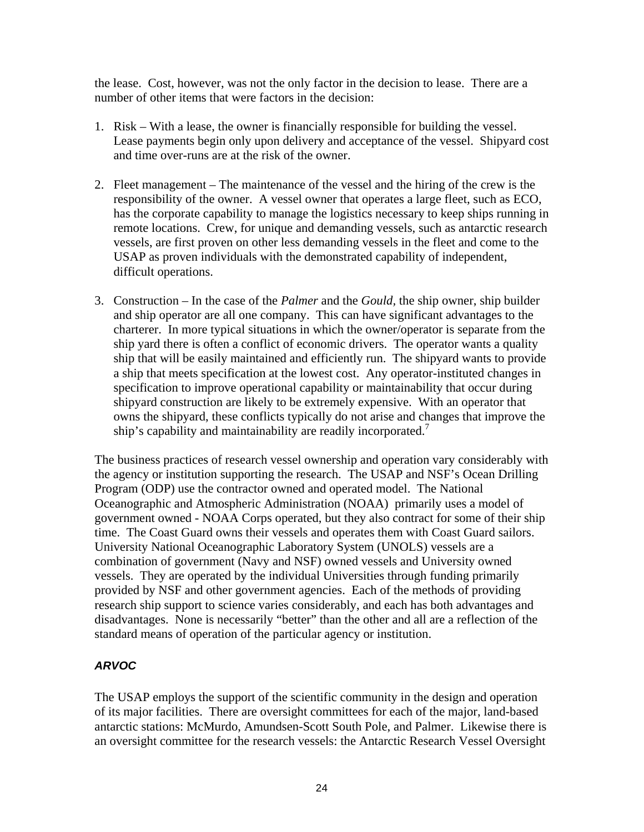the lease. Cost, however, was not the only factor in the decision to lease. There are a number of other items that were factors in the decision:

- 1. Risk With a lease, the owner is financially responsible for building the vessel. Lease payments begin only upon delivery and acceptance of the vessel. Shipyard cost and time over-runs are at the risk of the owner.
- 2. Fleet management The maintenance of the vessel and the hiring of the crew is the responsibility of the owner. A vessel owner that operates a large fleet, such as ECO, has the corporate capability to manage the logistics necessary to keep ships running in remote locations. Crew, for unique and demanding vessels, such as antarctic research vessels, are first proven on other less demanding vessels in the fleet and come to the USAP as proven individuals with the demonstrated capability of independent, difficult operations.
- 3. Construction In the case of the *Palmer* and the *Gould,* the ship owner, ship builder and ship operator are all one company. This can have significant advantages to the charterer. In more typical situations in which the owner/operator is separate from the ship yard there is often a conflict of economic drivers. The operator wants a quality ship that will be easily maintained and efficiently run. The shipyard wants to provide a ship that meets specification at the lowest cost. Any operator-instituted changes in specification to improve operational capability or maintainability that occur during shipyard construction are likely to be extremely expensive. With an operator that owns the shipyard, these conflicts typically do not arise and changes that improve the ship's capability and maintainability are readily incorporated.<sup>7</sup>

The business practices of research vessel ownership and operation vary considerably with the agency or institution supporting the research. The USAP and NSF's Ocean Drilling Program (ODP) use the contractor owned and operated model. The National Oceanographic and Atmospheric Administration (NOAA) primarily uses a model of government owned - NOAA Corps operated, but they also contract for some of their ship time. The Coast Guard owns their vessels and operates them with Coast Guard sailors. University National Oceanographic Laboratory System (UNOLS) vessels are a combination of government (Navy and NSF) owned vessels and University owned vessels. They are operated by the individual Universities through funding primarily provided by NSF and other government agencies. Each of the methods of providing research ship support to science varies considerably, and each has both advantages and disadvantages. None is necessarily "better" than the other and all are a reflection of the standard means of operation of the particular agency or institution.

## *ARVOC*

The USAP employs the support of the scientific community in the design and operation of its major facilities. There are oversight committees for each of the major, land-based antarctic stations: McMurdo, Amundsen-Scott South Pole, and Palmer. Likewise there is an oversight committee for the research vessels: the Antarctic Research Vessel Oversight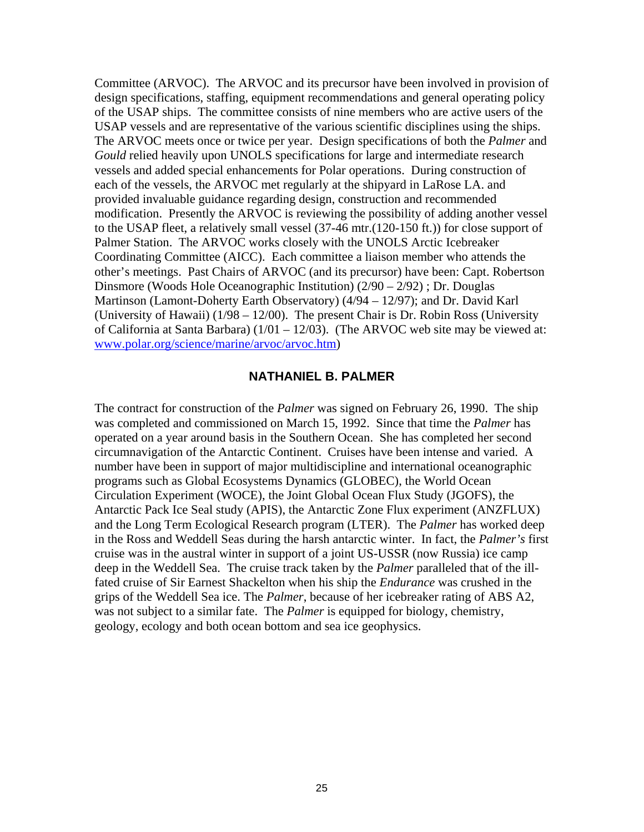Committee (ARVOC). The ARVOC and its precursor have been involved in provision of design specifications, staffing, equipment recommendations and general operating policy of the USAP ships. The committee consists of nine members who are active users of the USAP vessels and are representative of the various scientific disciplines using the ships. The ARVOC meets once or twice per year. Design specifications of both the *Palmer* and *Gould* relied heavily upon UNOLS specifications for large and intermediate research vessels and added special enhancements for Polar operations. During construction of each of the vessels, the ARVOC met regularly at the shipyard in LaRose LA. and provided invaluable guidance regarding design, construction and recommended modification. Presently the ARVOC is reviewing the possibility of adding another vessel to the USAP fleet, a relatively small vessel (37-46 mtr.(120-150 ft.)) for close support of Palmer Station. The ARVOC works closely with the UNOLS Arctic Icebreaker Coordinating Committee (AICC). Each committee a liaison member who attends the other's meetings. Past Chairs of ARVOC (and its precursor) have been: Capt. Robertson Dinsmore (Woods Hole Oceanographic Institution) (2/90 – 2/92) ; Dr. Douglas Martinson (Lamont-Doherty Earth Observatory) (4/94 – 12/97); and Dr. David Karl (University of Hawaii) (1/98 – 12/00). The present Chair is Dr. Robin Ross (University of California at Santa Barbara)  $(1/01 - 12/03)$ . (The ARVOC web site may be viewed at: [www.polar.org/science/marine/arvoc/arvoc.htm\)](http://www.polar.org/science/marine/arvoc/arvoc.htm)

#### **NATHANIEL B. PALMER**

The contract for construction of the *Palmer* was signed on February 26, 1990. The ship was completed and commissioned on March 15, 1992. Since that time the *Palmer* has operated on a year around basis in the Southern Ocean. She has completed her second circumnavigation of the Antarctic Continent. Cruises have been intense and varied. A number have been in support of major multidiscipline and international oceanographic programs such as Global Ecosystems Dynamics (GLOBEC), the World Ocean Circulation Experiment (WOCE), the Joint Global Ocean Flux Study (JGOFS), the Antarctic Pack Ice Seal study (APIS), the Antarctic Zone Flux experiment (ANZFLUX) and the Long Term Ecological Research program (LTER). The *Palmer* has worked deep in the Ross and Weddell Seas during the harsh antarctic winter. In fact, the *Palmer's* first cruise was in the austral winter in support of a joint US-USSR (now Russia) ice camp deep in the Weddell Sea. The cruise track taken by the *Palmer* paralleled that of the illfated cruise of Sir Earnest Shackelton when his ship the *Endurance* was crushed in the grips of the Weddell Sea ice. The *Palmer*, because of her icebreaker rating of ABS A2, was not subject to a similar fate. The *Palmer* is equipped for biology, chemistry, geology, ecology and both ocean bottom and sea ice geophysics.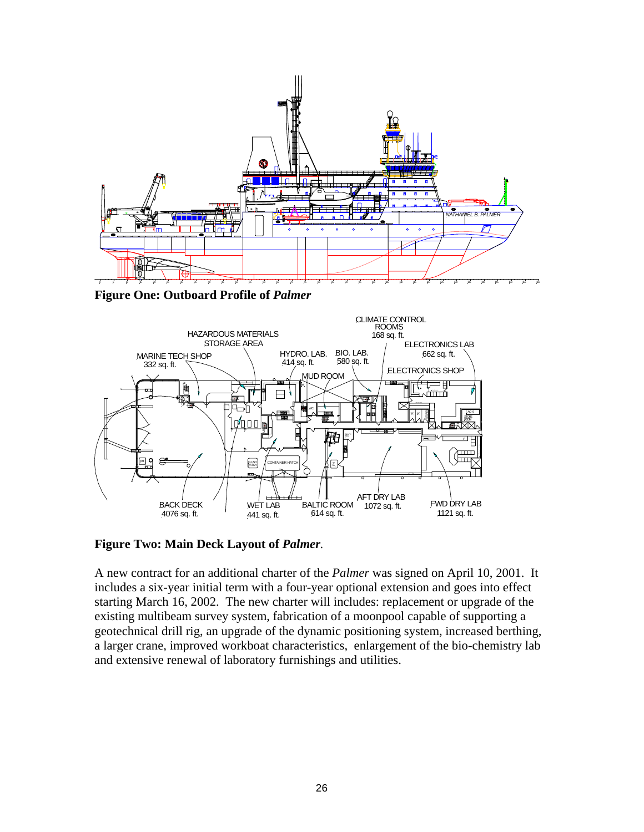

**Figure One: Outboard Profile of** *Palmer* 



**Figure Two: Main Deck Layout of** *Palmer.* 

A new contract for an additional charter of the *Palmer* was signed on April 10, 2001. It includes a six-year initial term with a four-year optional extension and goes into effect starting March 16, 2002. The new charter will includes: replacement or upgrade of the existing multibeam survey system, fabrication of a moonpool capable of supporting a geotechnical drill rig, an upgrade of the dynamic positioning system, increased berthing, a larger crane, improved workboat characteristics, enlargement of the bio-chemistry lab and extensive renewal of laboratory furnishings and utilities.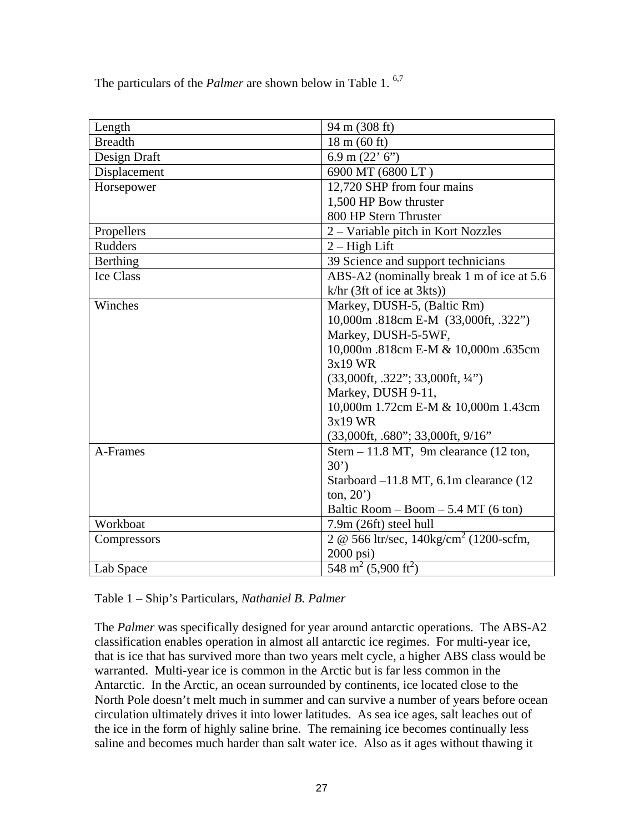The particulars of the *Palmer* are shown below in Table 1.<sup>6,7</sup>

| Length           | 94 m (308 ft)                                     |
|------------------|---------------------------------------------------|
| <b>Breadth</b>   | $18 \text{ m} (60 \text{ ft})$                    |
| Design Draft     | 6.9 m $(22' 6'')$                                 |
| Displacement     | 6900 MT (6800 LT)                                 |
| Horsepower       | 12,720 SHP from four mains                        |
|                  | 1,500 HP Bow thruster                             |
|                  | 800 HP Stern Thruster                             |
| Propellers       | 2 - Variable pitch in Kort Nozzles                |
| <b>Rudders</b>   | $2 - High Lift$                                   |
| Berthing         | 39 Science and support technicians                |
| <b>Ice Class</b> | ABS-A2 (nominally break 1 m of ice at 5.6         |
|                  | k/hr (3ft of ice at 3kts))                        |
| Winches          | Markey, DUSH-5, (Baltic Rm)                       |
|                  | 10,000m .818cm E-M (33,000ft, .322")              |
|                  | Markey, DUSH-5-5WF,                               |
|                  | 10,000m .818cm E-M & 10,000m .635cm               |
|                  | 3x19 WR                                           |
|                  | $(33,000$ ft, .322"; 33,000ft, 1/4")              |
|                  | Markey, DUSH 9-11,                                |
|                  | 10,000m 1.72cm E-M & 10,000m 1.43cm               |
|                  | 3x19 WR                                           |
|                  | $(33,000$ ft, .680"; 33,000ft, 9/16"              |
| A-Frames         | Stern $-11.8$ MT, 9m clearance (12 ton,           |
|                  | 30')                                              |
|                  | Starboard -11.8 MT, 6.1m clearance (12)           |
|                  | ton, 20')                                         |
|                  | Baltic Room $-$ Boom $-$ 5.4 MT (6 ton)           |
| Workboat         | 7.9m (26ft) steel hull                            |
| Compressors      | 2 @ 566 ltr/sec, $140 \text{kg/cm}^2$ (1200-scfm, |
|                  | $2000$ psi)                                       |
| Lab Space        | 548 m <sup>2</sup> (5,900 ft <sup>2</sup> )       |

Table 1 – Ship's Particulars, *Nathaniel B. Palmer* 

The *Palmer* was specifically designed for year around antarctic operations. The ABS-A2 classification enables operation in almost all antarctic ice regimes. For multi-year ice, that is ice that has survived more than two years melt cycle, a higher ABS class would be warranted. Multi-year ice is common in the Arctic but is far less common in the Antarctic. In the Arctic, an ocean surrounded by continents, ice located close to the North Pole doesn't melt much in summer and can survive a number of years before ocean circulation ultimately drives it into lower latitudes. As sea ice ages, salt leaches out of the ice in the form of highly saline brine. The remaining ice becomes continually less saline and becomes much harder than salt water ice. Also as it ages without thawing it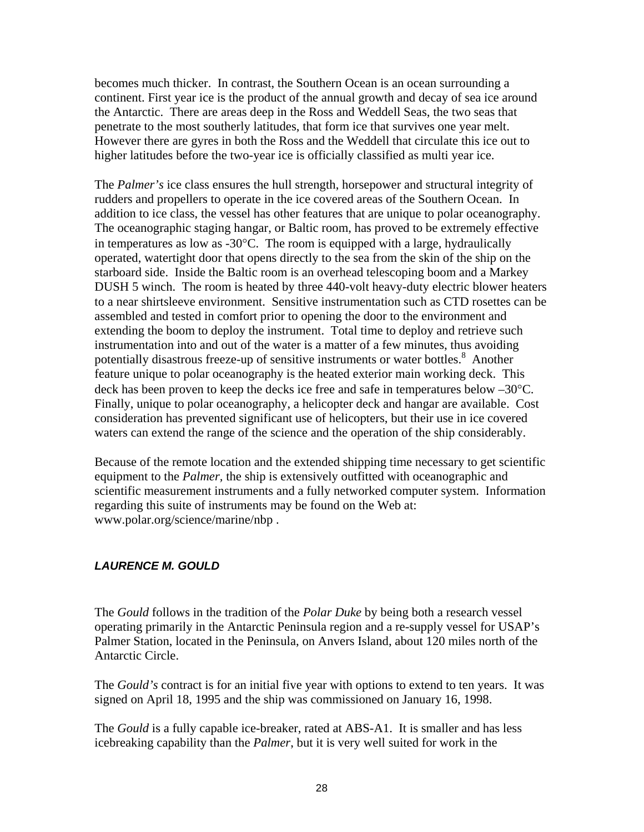becomes much thicker. In contrast, the Southern Ocean is an ocean surrounding a continent. First year ice is the product of the annual growth and decay of sea ice around the Antarctic. There are areas deep in the Ross and Weddell Seas, the two seas that penetrate to the most southerly latitudes, that form ice that survives one year melt. However there are gyres in both the Ross and the Weddell that circulate this ice out to higher latitudes before the two-year ice is officially classified as multi year ice.

The *Palmer's* ice class ensures the hull strength, horsepower and structural integrity of rudders and propellers to operate in the ice covered areas of the Southern Ocean. In addition to ice class, the vessel has other features that are unique to polar oceanography. The oceanographic staging hangar, or Baltic room, has proved to be extremely effective in temperatures as low as  $-30^{\circ}$ C. The room is equipped with a large, hydraulically operated, watertight door that opens directly to the sea from the skin of the ship on the starboard side. Inside the Baltic room is an overhead telescoping boom and a Markey DUSH 5 winch. The room is heated by three 440-volt heavy-duty electric blower heaters to a near shirtsleeve environment. Sensitive instrumentation such as CTD rosettes can be assembled and tested in comfort prior to opening the door to the environment and extending the boom to deploy the instrument. Total time to deploy and retrieve such instrumentation into and out of the water is a matter of a few minutes, thus avoiding potentially disastrous freeze-up of sensitive instruments or water bottles.<sup>8</sup> Another feature unique to polar oceanography is the heated exterior main working deck. This deck has been proven to keep the decks ice free and safe in temperatures below –30°C. Finally, unique to polar oceanography, a helicopter deck and hangar are available. Cost consideration has prevented significant use of helicopters, but their use in ice covered waters can extend the range of the science and the operation of the ship considerably.

Because of the remote location and the extended shipping time necessary to get scientific equipment to the *Palmer,* the ship is extensively outfitted with oceanographic and scientific measurement instruments and a fully networked computer system. Information regarding this suite of instruments may be found on the Web at: www.polar.org/science/marine/nbp .

#### *LAURENCE M. GOULD*

The *Gould* follows in the tradition of the *Polar Duke* by being both a research vessel operating primarily in the Antarctic Peninsula region and a re-supply vessel for USAP's Palmer Station, located in the Peninsula, on Anvers Island, about 120 miles north of the Antarctic Circle.

The *Gould's* contract is for an initial five year with options to extend to ten years. It was signed on April 18, 1995 and the ship was commissioned on January 16, 1998.

The *Gould* is a fully capable ice-breaker, rated at ABS-A1. It is smaller and has less icebreaking capability than the *Palmer*, but it is very well suited for work in the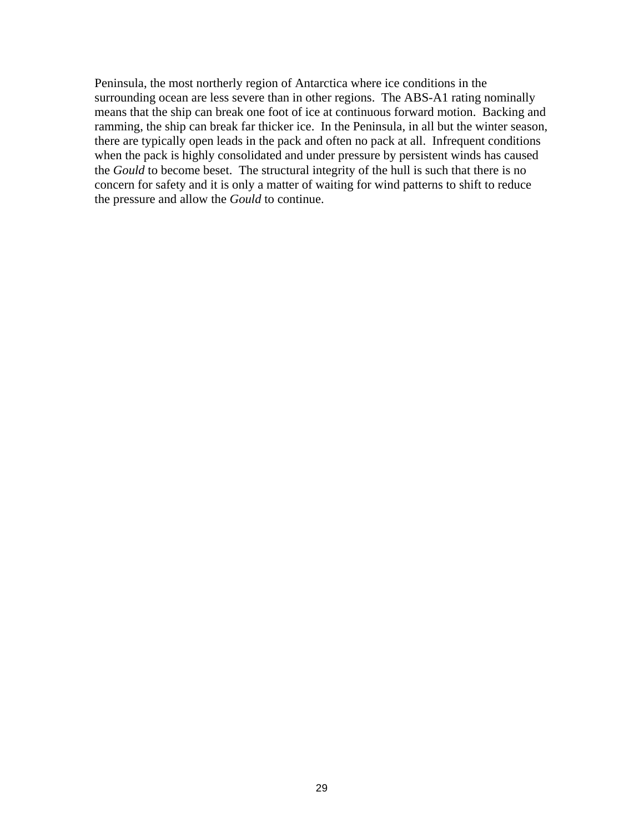Peninsula, the most northerly region of Antarctica where ice conditions in the surrounding ocean are less severe than in other regions. The ABS-A1 rating nominally means that the ship can break one foot of ice at continuous forward motion. Backing and ramming, the ship can break far thicker ice. In the Peninsula, in all but the winter season, there are typically open leads in the pack and often no pack at all. Infrequent conditions when the pack is highly consolidated and under pressure by persistent winds has caused the *Gould* to become beset. The structural integrity of the hull is such that there is no concern for safety and it is only a matter of waiting for wind patterns to shift to reduce the pressure and allow the *Gould* to continue.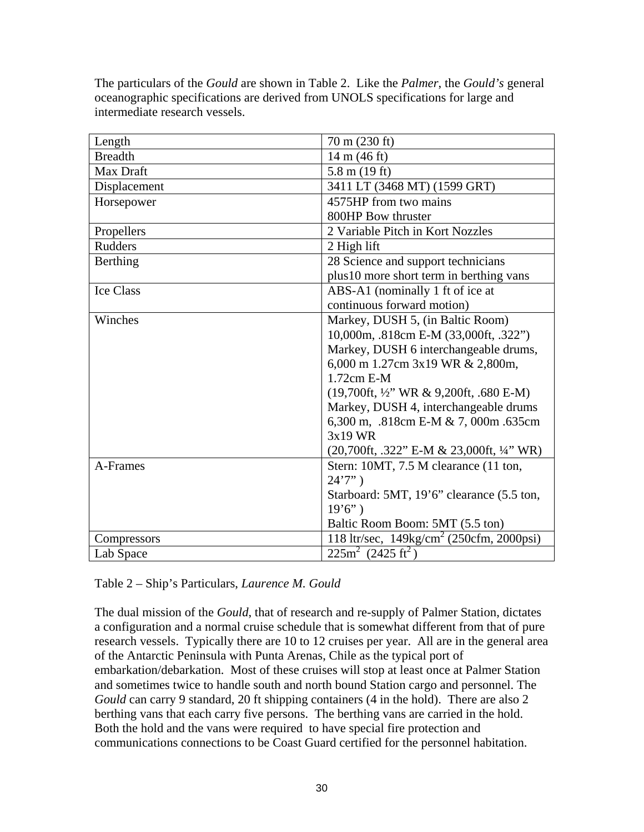| Length           | 70 m (230 ft)                                              |
|------------------|------------------------------------------------------------|
| <b>Breadth</b>   | $14 \text{ m} (46 \text{ ft})$                             |
| Max Draft        | $5.8 \text{ m}$ (19 ft)                                    |
| Displacement     | 3411 LT (3468 MT) (1599 GRT)                               |
| Horsepower       | 4575HP from two mains                                      |
|                  | 800HP Bow thruster                                         |
| Propellers       | 2 Variable Pitch in Kort Nozzles                           |
| Rudders          | 2 High lift                                                |
| <b>Berthing</b>  | 28 Science and support technicians                         |
|                  | plus10 more short term in berthing vans                    |
| <b>Ice Class</b> | ABS-A1 (nominally 1 ft of ice at                           |
|                  | continuous forward motion)                                 |
| Winches          | Markey, DUSH 5, (in Baltic Room)                           |
|                  | 10,000m, .818cm E-M (33,000ft, .322")                      |
|                  | Markey, DUSH 6 interchangeable drums,                      |
|                  | 6,000 m 1.27cm 3x19 WR & 2,800m,                           |
|                  | $1.72cm$ E-M                                               |
|                  | $(19,700 \text{ft}, \frac{1}{2}$ " WR & 9,200ft, .680 E-M) |
|                  | Markey, DUSH 4, interchangeable drums                      |
|                  | 6,300 m, .818cm E-M & 7,000m .635cm                        |
|                  | 3x19 WR                                                    |
|                  | $(20,700$ ft, .322" E-M & 23,000ft, 1/4" WR)               |
| A-Frames         | Stern: 10MT, 7.5 M clearance (11 ton,                      |
|                  | 24'7'                                                      |
|                  | Starboard: 5MT, 19'6" clearance (5.5 ton,                  |
|                  | 19'6'                                                      |
|                  | Baltic Room Boom: 5MT (5.5 ton)                            |
| Compressors      | 118 ltr/sec, 149kg/cm <sup>2</sup> (250cfm, 2000psi)       |
| Lab Space        | $225m^2$ (2425 ft <sup>2</sup> )                           |

The particulars of the *Gould* are shown in Table 2. Like the *Palmer*, the *Gould's* general oceanographic specifications are derived from UNOLS specifications for large and intermediate research vessels.

Table 2 – Ship's Particulars, *Laurence M. Gould* 

The dual mission of the *Gould*, that of research and re-supply of Palmer Station, dictates a configuration and a normal cruise schedule that is somewhat different from that of pure research vessels. Typically there are 10 to 12 cruises per year. All are in the general area of the Antarctic Peninsula with Punta Arenas, Chile as the typical port of embarkation/debarkation. Most of these cruises will stop at least once at Palmer Station and sometimes twice to handle south and north bound Station cargo and personnel. The *Gould* can carry 9 standard, 20 ft shipping containers (4 in the hold). There are also 2 berthing vans that each carry five persons. The berthing vans are carried in the hold. Both the hold and the vans were required to have special fire protection and communications connections to be Coast Guard certified for the personnel habitation.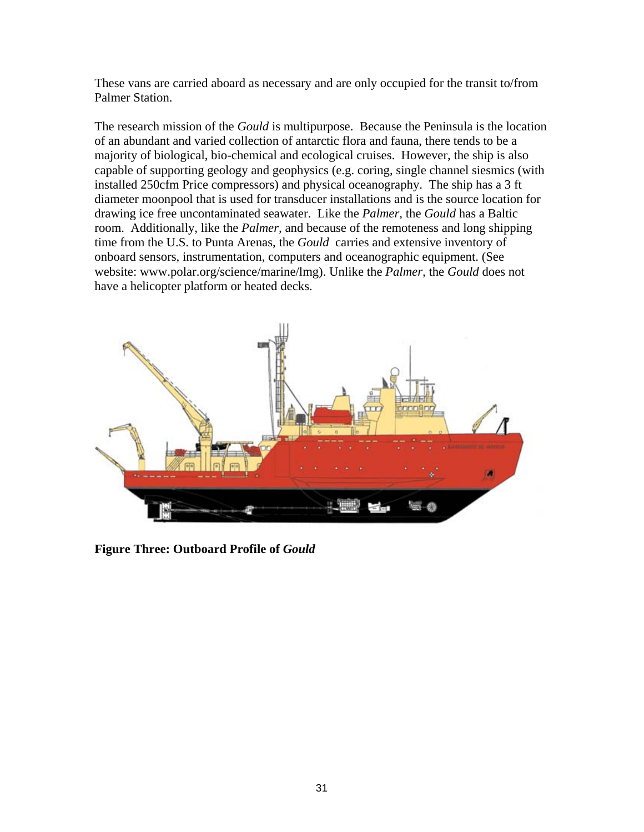These vans are carried aboard as necessary and are only occupied for the transit to/from Palmer Station.

The research mission of the *Gould* is multipurpose. Because the Peninsula is the location of an abundant and varied collection of antarctic flora and fauna, there tends to be a majority of biological, bio-chemical and ecological cruises. However, the ship is also capable of supporting geology and geophysics (e.g. coring, single channel siesmics (with installed 250cfm Price compressors) and physical oceanography. The ship has a 3 ft diameter moonpool that is used for transducer installations and is the source location for drawing ice free uncontaminated seawater. Like the *Palmer,* the *Gould* has a Baltic room. Additionally, like the *Palmer,* and because of the remoteness and long shipping time from the U.S. to Punta Arenas, the *Gould* carries and extensive inventory of onboard sensors, instrumentation, computers and oceanographic equipment. (See website: www.polar.org/science/marine/lmg). Unlike the *Palmer,* the *Gould* does not have a helicopter platform or heated decks.



**Figure Three: Outboard Profile of** *Gould*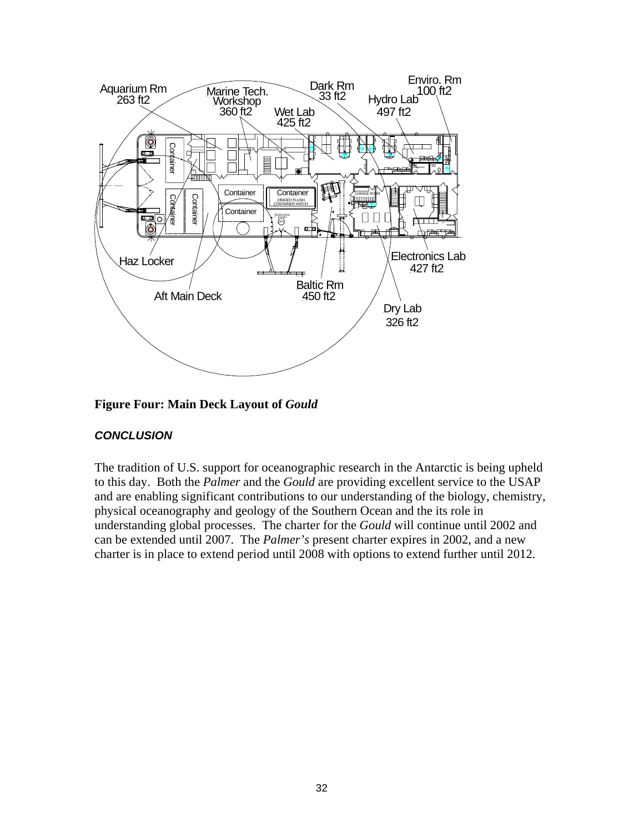

**Figure Four: Main Deck Layout of** *Gould*

## *CONCLUSION*

The tradition of U.S. support for oceanographic research in the Antarctic is being upheld to this day. Both the *Palmer* and the *Gould* are providing excellent service to the USAP and are enabling significant contributions to our understanding of the biology, chemistry, physical oceanography and geology of the Southern Ocean and the its role in understanding global processes. The charter for the *Gould* will continue until 2002 and can be extended until 2007. The *Palmer's* present charter expires in 2002, and a new charter is in place to extend period until 2008 with options to extend further until 2012.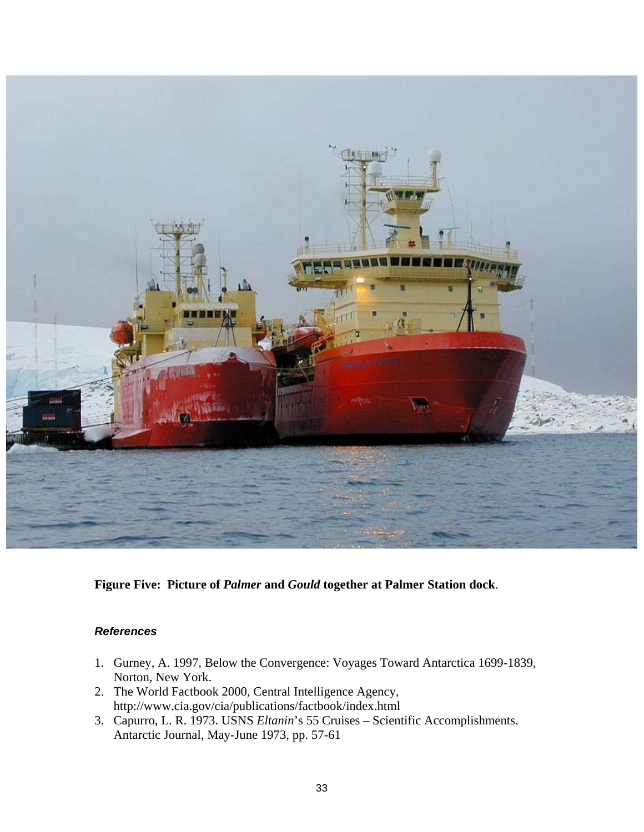

**Figure Five: Picture of** *Palmer* **and** *Gould* **together at Palmer Station dock**.

#### *References*

- 1. Gurney, A. 1997, Below the Convergence: Voyages Toward Antarctica 1699-1839, Norton, New York.
- 2. The World Factbook 2000, Central Intelligence Agency, http://www.cia.gov/cia/publications/factbook/index.html
- 3. Capurro, L. R. 1973. USNS *Eltanin*'s 55 Cruises Scientific Accomplishments. Antarctic Journal, May-June 1973, pp. 57-61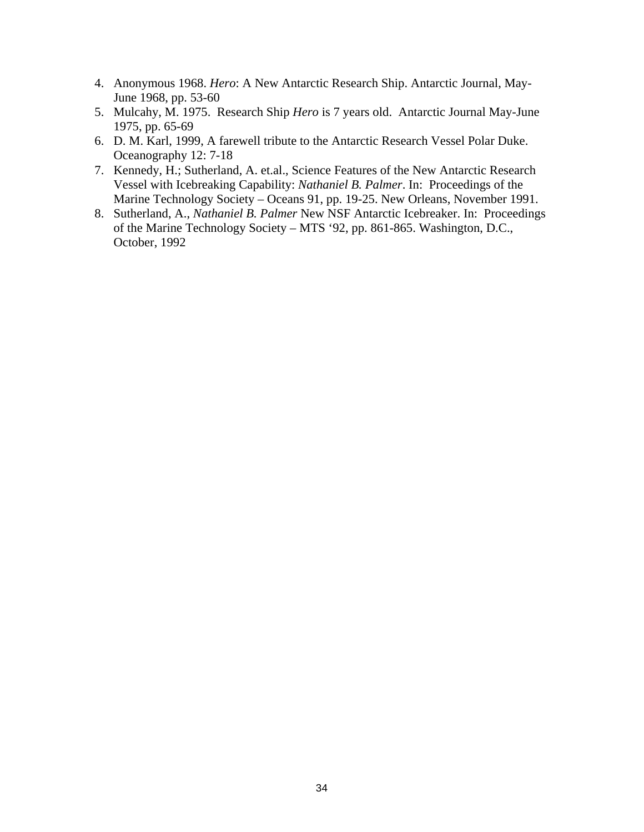- 4. Anonymous 1968. *Hero*: A New Antarctic Research Ship. Antarctic Journal, May-June 1968, pp. 53-60
- 5. Mulcahy, M. 1975. Research Ship *Hero* is 7 years old. Antarctic Journal May-June 1975, pp. 65-69
- 6. D. M. Karl, 1999, A farewell tribute to the Antarctic Research Vessel Polar Duke. Oceanography 12: 7-18
- 7. Kennedy, H.; Sutherland, A. et.al., Science Features of the New Antarctic Research Vessel with Icebreaking Capability: *Nathaniel B. Palmer*. In: Proceedings of the Marine Technology Society – Oceans 91, pp. 19-25. New Orleans, November 1991.
- 8. Sutherland, A., *Nathaniel B. Palmer* New NSF Antarctic Icebreaker. In: Proceedings of the Marine Technology Society – MTS '92, pp. 861-865. Washington, D.C., October, 1992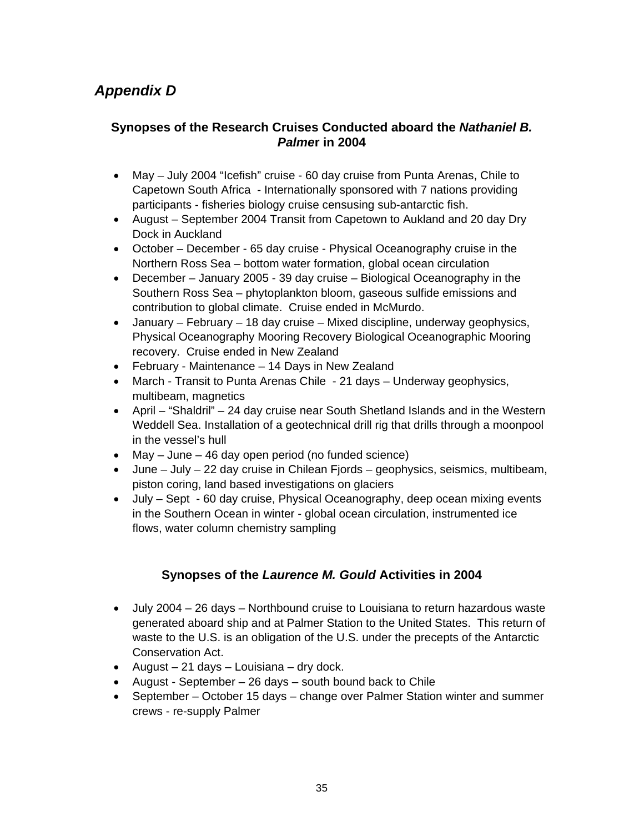# *Appendix D*

## **Synopses of the Research Cruises Conducted aboard the** *Nathaniel B. Palme***r in 2004**

- May July 2004 "Icefish" cruise 60 day cruise from Punta Arenas, Chile to Capetown South Africa - Internationally sponsored with 7 nations providing participants - fisheries biology cruise censusing sub-antarctic fish.
- August September 2004 Transit from Capetown to Aukland and 20 day Dry Dock in Auckland
- October December 65 day cruise Physical Oceanography cruise in the Northern Ross Sea – bottom water formation, global ocean circulation
- December January 2005 39 day cruise Biological Oceanography in the Southern Ross Sea – phytoplankton bloom, gaseous sulfide emissions and contribution to global climate. Cruise ended in McMurdo.
- January February 18 day cruise Mixed discipline, underway geophysics, Physical Oceanography Mooring Recovery Biological Oceanographic Mooring recovery. Cruise ended in New Zealand
- February Maintenance 14 Days in New Zealand
- March Transit to Punta Arenas Chile 21 days Underway geophysics, multibeam, magnetics
- April "Shaldril" 24 day cruise near South Shetland Islands and in the Western Weddell Sea. Installation of a geotechnical drill rig that drills through a moonpool in the vessel's hull
- May June 46 day open period (no funded science)
- June July 22 day cruise in Chilean Fjords geophysics, seismics, multibeam, piston coring, land based investigations on glaciers
- July Sept 60 day cruise, Physical Oceanography, deep ocean mixing events in the Southern Ocean in winter - global ocean circulation, instrumented ice flows, water column chemistry sampling

# **Synopses of the** *Laurence M. Gould* **Activities in 2004**

- July 2004 26 days Northbound cruise to Louisiana to return hazardous waste generated aboard ship and at Palmer Station to the United States. This return of waste to the U.S. is an obligation of the U.S. under the precepts of the Antarctic Conservation Act.
- August  $-21$  days  $-$  Louisiana  $-$  dry dock.
- August September 26 days south bound back to Chile
- September October 15 days change over Palmer Station winter and summer crews - re-supply Palmer